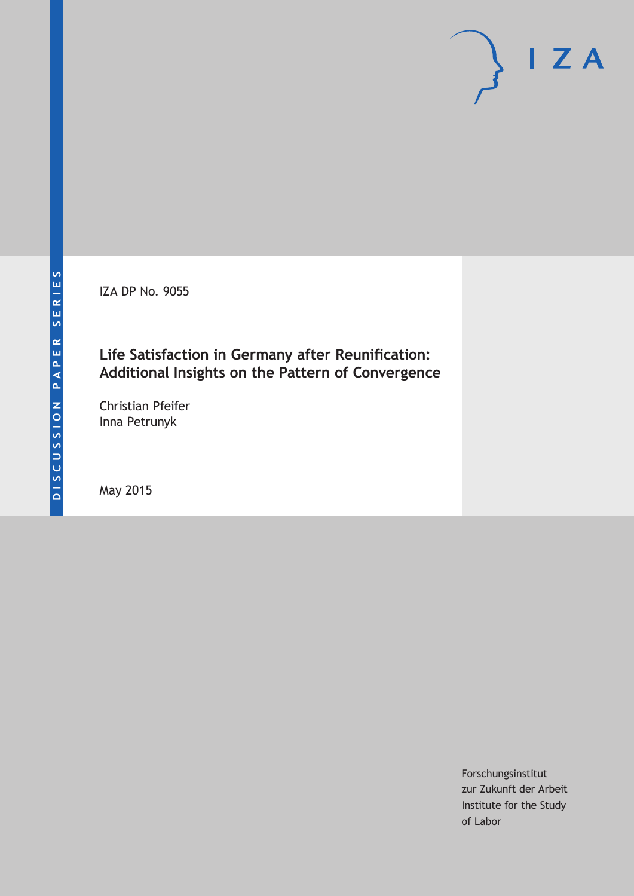IZA DP No. 9055

# **Life Satisfaction in Germany after Reunification: Additional Insights on the Pattern of Convergence**

Christian Pfeifer Inna Petrunyk

May 2015

Forschungsinstitut zur Zukunft der Arbeit Institute for the Study of Labor

 $I Z A$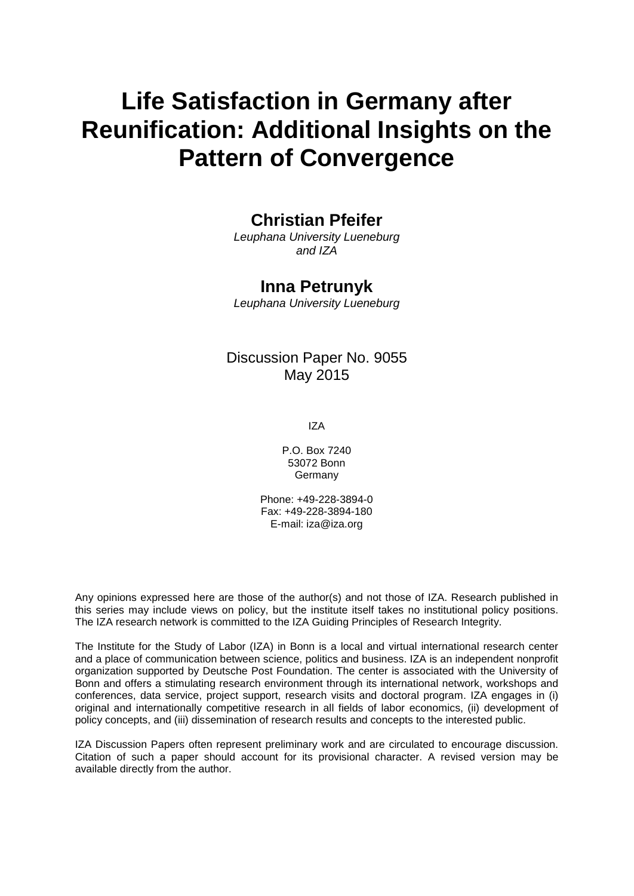# **Life Satisfaction in Germany after Reunification: Additional Insights on the Pattern of Convergence**

# **Christian Pfeifer**

*Leuphana University Lueneburg and IZA*

### **Inna Petrunyk**

*Leuphana University Lueneburg*

### Discussion Paper No. 9055 May 2015

IZA

P.O. Box 7240 53072 Bonn Germany

Phone: +49-228-3894-0 Fax: +49-228-3894-180 E-mail: iza@iza.org

Any opinions expressed here are those of the author(s) and not those of IZA. Research published in this series may include views on policy, but the institute itself takes no institutional policy positions. The IZA research network is committed to the IZA Guiding Principles of Research Integrity.

The Institute for the Study of Labor (IZA) in Bonn is a local and virtual international research center and a place of communication between science, politics and business. IZA is an independent nonprofit organization supported by Deutsche Post Foundation. The center is associated with the University of Bonn and offers a stimulating research environment through its international network, workshops and conferences, data service, project support, research visits and doctoral program. IZA engages in (i) original and internationally competitive research in all fields of labor economics, (ii) development of policy concepts, and (iii) dissemination of research results and concepts to the interested public.

IZA Discussion Papers often represent preliminary work and are circulated to encourage discussion. Citation of such a paper should account for its provisional character. A revised version may be available directly from the author.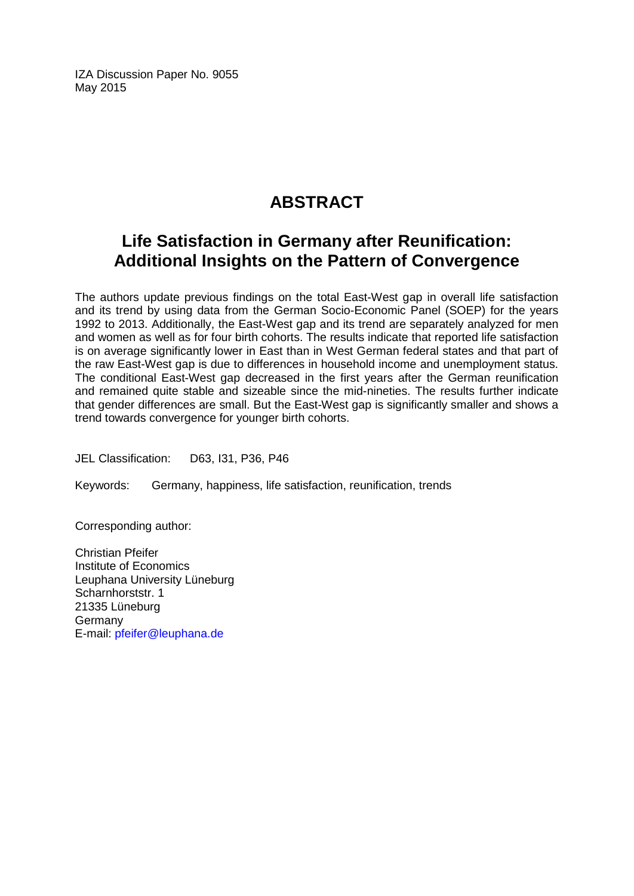IZA Discussion Paper No. 9055 May 2015

# **ABSTRACT**

# **Life Satisfaction in Germany after Reunification: Additional Insights on the Pattern of Convergence**

The authors update previous findings on the total East-West gap in overall life satisfaction and its trend by using data from the German Socio-Economic Panel (SOEP) for the years 1992 to 2013. Additionally, the East-West gap and its trend are separately analyzed for men and women as well as for four birth cohorts. The results indicate that reported life satisfaction is on average significantly lower in East than in West German federal states and that part of the raw East-West gap is due to differences in household income and unemployment status. The conditional East-West gap decreased in the first years after the German reunification and remained quite stable and sizeable since the mid-nineties. The results further indicate that gender differences are small. But the East-West gap is significantly smaller and shows a trend towards convergence for younger birth cohorts.

JEL Classification: D63, I31, P36, P46

Keywords: Germany, happiness, life satisfaction, reunification, trends

Corresponding author:

Christian Pfeifer Institute of Economics Leuphana University Lüneburg Scharnhorststr. 1 21335 Lüneburg Germany E-mail: [pfeifer@leuphana.de](mailto:pfeifer@leuphana.de)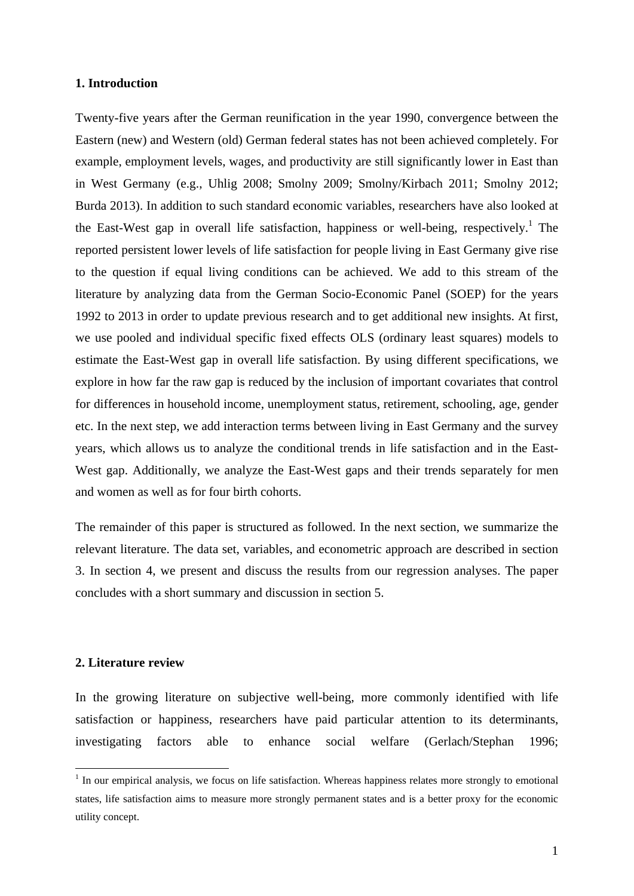#### **1. Introduction**

Twenty-five years after the German reunification in the year 1990, convergence between the Eastern (new) and Western (old) German federal states has not been achieved completely. For example, employment levels, wages, and productivity are still significantly lower in East than in West Germany (e.g., Uhlig 2008; Smolny 2009; Smolny/Kirbach 2011; Smolny 2012; Burda 2013). In addition to such standard economic variables, researchers have also looked at the East-West gap in overall life satisfaction, happiness or well-being, respectively.<sup>1</sup> The reported persistent lower levels of life satisfaction for people living in East Germany give rise to the question if equal living conditions can be achieved. We add to this stream of the literature by analyzing data from the German Socio-Economic Panel (SOEP) for the years 1992 to 2013 in order to update previous research and to get additional new insights. At first, we use pooled and individual specific fixed effects OLS (ordinary least squares) models to estimate the East-West gap in overall life satisfaction. By using different specifications, we explore in how far the raw gap is reduced by the inclusion of important covariates that control for differences in household income, unemployment status, retirement, schooling, age, gender etc. In the next step, we add interaction terms between living in East Germany and the survey years, which allows us to analyze the conditional trends in life satisfaction and in the East-West gap. Additionally, we analyze the East-West gaps and their trends separately for men and women as well as for four birth cohorts.

The remainder of this paper is structured as followed. In the next section, we summarize the relevant literature. The data set, variables, and econometric approach are described in section 3. In section 4, we present and discuss the results from our regression analyses. The paper concludes with a short summary and discussion in section 5.

#### **2. Literature review**

In the growing literature on subjective well-being, more commonly identified with life satisfaction or happiness, researchers have paid particular attention to its determinants, investigating factors able to enhance social welfare (Gerlach/Stephan 1996;

<sup>&</sup>lt;sup>1</sup> In our empirical analysis, we focus on life satisfaction. Whereas happiness relates more strongly to emotional states, life satisfaction aims to measure more strongly permanent states and is a better proxy for the economic utility concept.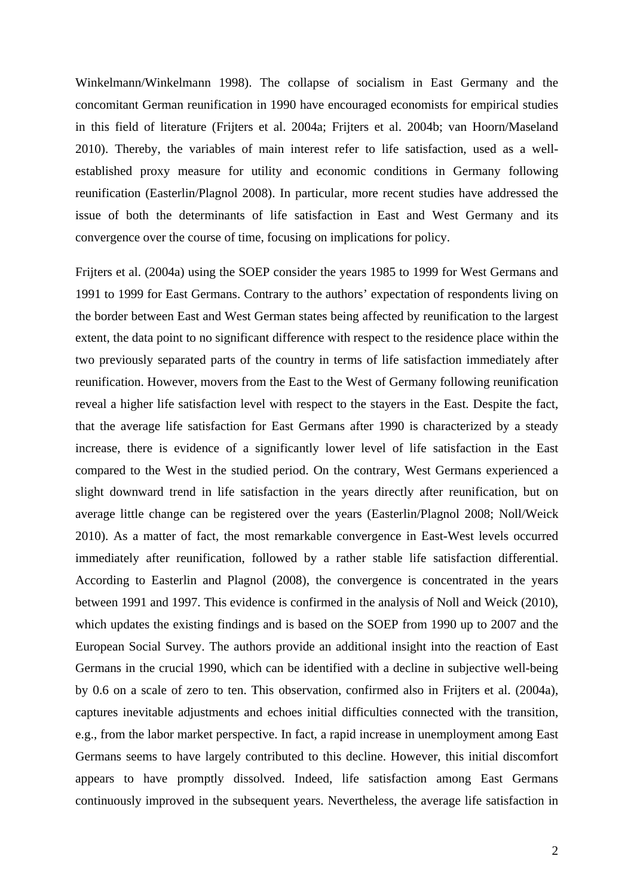Winkelmann/Winkelmann 1998). The collapse of socialism in East Germany and the concomitant German reunification in 1990 have encouraged economists for empirical studies in this field of literature (Frijters et al. 2004a; Frijters et al. 2004b; van Hoorn/Maseland 2010). Thereby, the variables of main interest refer to life satisfaction, used as a wellestablished proxy measure for utility and economic conditions in Germany following reunification (Easterlin/Plagnol 2008). In particular, more recent studies have addressed the issue of both the determinants of life satisfaction in East and West Germany and its convergence over the course of time, focusing on implications for policy.

Frijters et al. (2004a) using the SOEP consider the years 1985 to 1999 for West Germans and 1991 to 1999 for East Germans. Contrary to the authors' expectation of respondents living on the border between East and West German states being affected by reunification to the largest extent, the data point to no significant difference with respect to the residence place within the two previously separated parts of the country in terms of life satisfaction immediately after reunification. However, movers from the East to the West of Germany following reunification reveal a higher life satisfaction level with respect to the stayers in the East. Despite the fact, that the average life satisfaction for East Germans after 1990 is characterized by a steady increase, there is evidence of a significantly lower level of life satisfaction in the East compared to the West in the studied period. On the contrary, West Germans experienced a slight downward trend in life satisfaction in the years directly after reunification, but on average little change can be registered over the years (Easterlin/Plagnol 2008; Noll/Weick 2010). As a matter of fact, the most remarkable convergence in East-West levels occurred immediately after reunification, followed by a rather stable life satisfaction differential. According to Easterlin and Plagnol (2008), the convergence is concentrated in the years between 1991 and 1997. This evidence is confirmed in the analysis of Noll and Weick (2010), which updates the existing findings and is based on the SOEP from 1990 up to 2007 and the European Social Survey. The authors provide an additional insight into the reaction of East Germans in the crucial 1990, which can be identified with a decline in subjective well-being by 0.6 on a scale of zero to ten. This observation, confirmed also in Frijters et al. (2004a), captures inevitable adjustments and echoes initial difficulties connected with the transition, e.g., from the labor market perspective. In fact, a rapid increase in unemployment among East Germans seems to have largely contributed to this decline. However, this initial discomfort appears to have promptly dissolved. Indeed, life satisfaction among East Germans continuously improved in the subsequent years. Nevertheless, the average life satisfaction in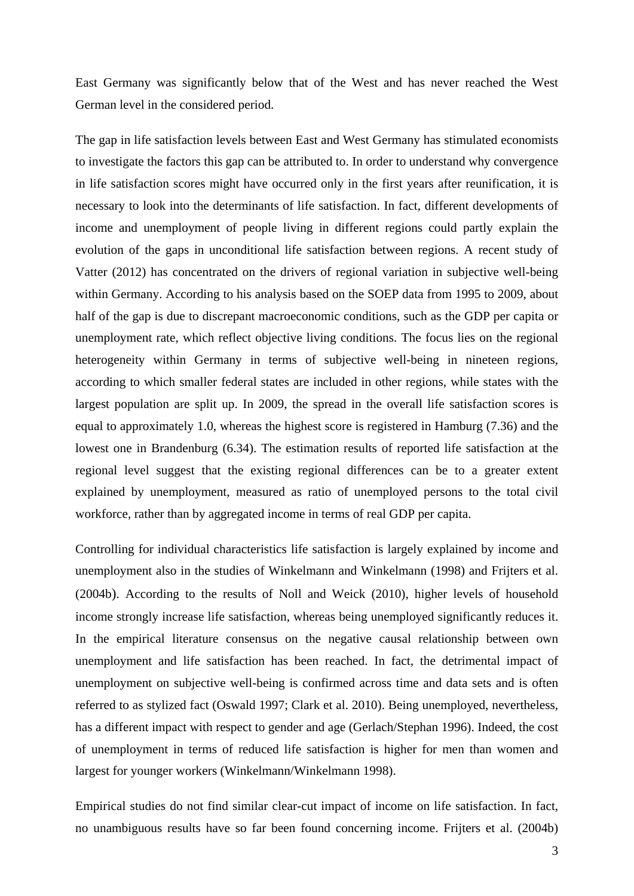East Germany was significantly below that of the West and has never reached the West German level in the considered period.

The gap in life satisfaction levels between East and West Germany has stimulated economists to investigate the factors this gap can be attributed to. In order to understand why convergence in life satisfaction scores might have occurred only in the first years after reunification, it is necessary to look into the determinants of life satisfaction. In fact, different developments of income and unemployment of people living in different regions could partly explain the evolution of the gaps in unconditional life satisfaction between regions. A recent study of Vatter (2012) has concentrated on the drivers of regional variation in subjective well-being within Germany. According to his analysis based on the SOEP data from 1995 to 2009, about half of the gap is due to discrepant macroeconomic conditions, such as the GDP per capita or unemployment rate, which reflect objective living conditions. The focus lies on the regional heterogeneity within Germany in terms of subjective well-being in nineteen regions, according to which smaller federal states are included in other regions, while states with the largest population are split up. In 2009, the spread in the overall life satisfaction scores is equal to approximately 1.0, whereas the highest score is registered in Hamburg (7.36) and the lowest one in Brandenburg (6.34). The estimation results of reported life satisfaction at the regional level suggest that the existing regional differences can be to a greater extent explained by unemployment, measured as ratio of unemployed persons to the total civil workforce, rather than by aggregated income in terms of real GDP per capita.

Controlling for individual characteristics life satisfaction is largely explained by income and unemployment also in the studies of Winkelmann and Winkelmann (1998) and Frijters et al. (2004b). According to the results of Noll and Weick (2010), higher levels of household income strongly increase life satisfaction, whereas being unemployed significantly reduces it. In the empirical literature consensus on the negative causal relationship between own unemployment and life satisfaction has been reached. In fact, the detrimental impact of unemployment on subjective well-being is confirmed across time and data sets and is often referred to as stylized fact (Oswald 1997; Clark et al. 2010). Being unemployed, nevertheless, has a different impact with respect to gender and age (Gerlach/Stephan 1996). Indeed, the cost of unemployment in terms of reduced life satisfaction is higher for men than women and largest for younger workers (Winkelmann/Winkelmann 1998).

Empirical studies do not find similar clear-cut impact of income on life satisfaction. In fact, no unambiguous results have so far been found concerning income. Frijters et al. (2004b)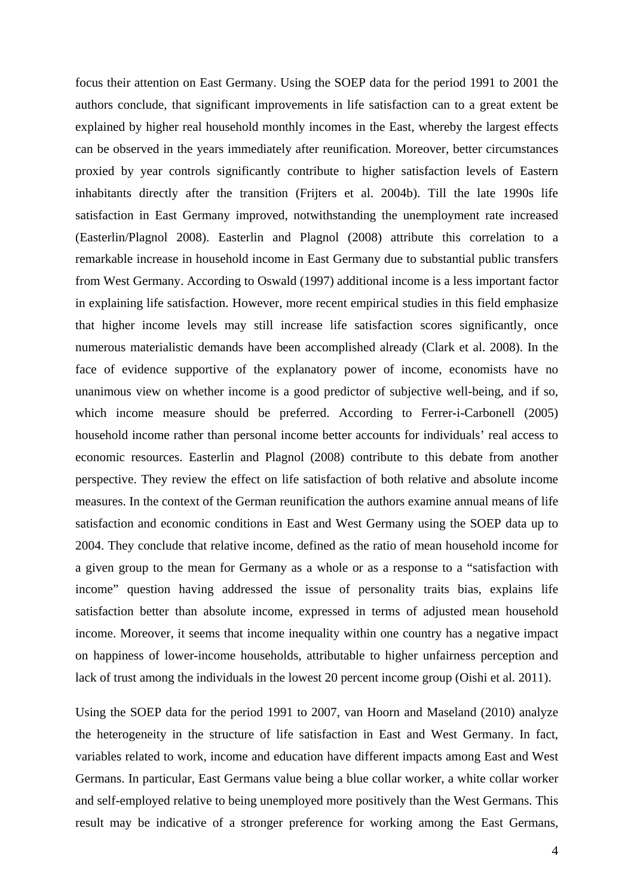focus their attention on East Germany. Using the SOEP data for the period 1991 to 2001 the authors conclude, that significant improvements in life satisfaction can to a great extent be explained by higher real household monthly incomes in the East, whereby the largest effects can be observed in the years immediately after reunification. Moreover, better circumstances proxied by year controls significantly contribute to higher satisfaction levels of Eastern inhabitants directly after the transition (Frijters et al. 2004b). Till the late 1990s life satisfaction in East Germany improved, notwithstanding the unemployment rate increased (Easterlin/Plagnol 2008). Easterlin and Plagnol (2008) attribute this correlation to a remarkable increase in household income in East Germany due to substantial public transfers from West Germany. According to Oswald (1997) additional income is a less important factor in explaining life satisfaction. However, more recent empirical studies in this field emphasize that higher income levels may still increase life satisfaction scores significantly, once numerous materialistic demands have been accomplished already (Clark et al. 2008). In the face of evidence supportive of the explanatory power of income, economists have no unanimous view on whether income is a good predictor of subjective well-being, and if so, which income measure should be preferred. According to Ferrer-i-Carbonell (2005) household income rather than personal income better accounts for individuals' real access to economic resources. Easterlin and Plagnol (2008) contribute to this debate from another perspective. They review the effect on life satisfaction of both relative and absolute income measures. In the context of the German reunification the authors examine annual means of life satisfaction and economic conditions in East and West Germany using the SOEP data up to 2004. They conclude that relative income, defined as the ratio of mean household income for a given group to the mean for Germany as a whole or as a response to a "satisfaction with income" question having addressed the issue of personality traits bias, explains life satisfaction better than absolute income, expressed in terms of adjusted mean household income. Moreover, it seems that income inequality within one country has a negative impact on happiness of lower-income households, attributable to higher unfairness perception and lack of trust among the individuals in the lowest 20 percent income group (Oishi et al. 2011).

Using the SOEP data for the period 1991 to 2007, van Hoorn and Maseland (2010) analyze the heterogeneity in the structure of life satisfaction in East and West Germany. In fact, variables related to work, income and education have different impacts among East and West Germans. In particular, East Germans value being a blue collar worker, a white collar worker and self-employed relative to being unemployed more positively than the West Germans. This result may be indicative of a stronger preference for working among the East Germans,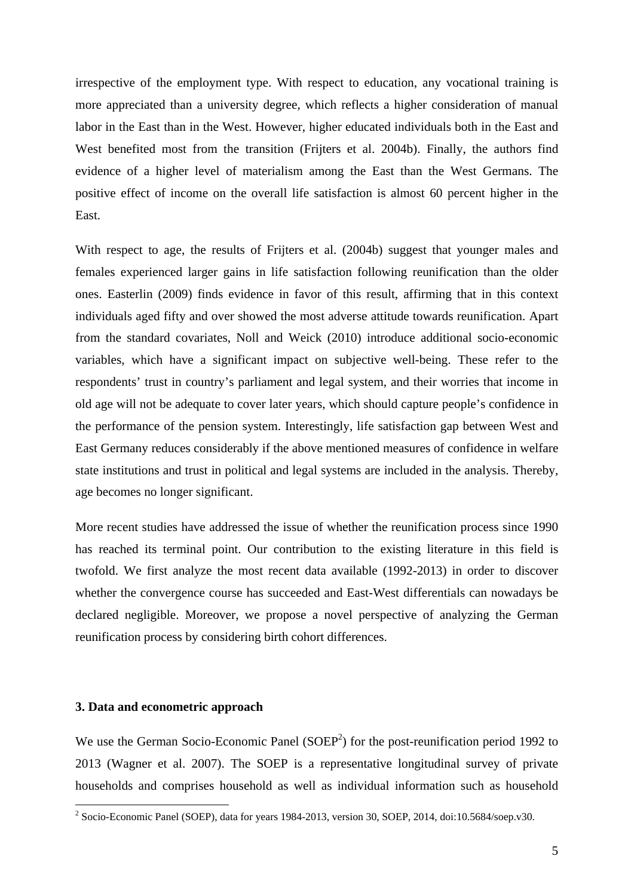irrespective of the employment type. With respect to education, any vocational training is more appreciated than a university degree, which reflects a higher consideration of manual labor in the East than in the West. However, higher educated individuals both in the East and West benefited most from the transition (Frijters et al. 2004b). Finally, the authors find evidence of a higher level of materialism among the East than the West Germans. The positive effect of income on the overall life satisfaction is almost 60 percent higher in the East.

With respect to age, the results of Frijters et al. (2004b) suggest that younger males and females experienced larger gains in life satisfaction following reunification than the older ones. Easterlin (2009) finds evidence in favor of this result, affirming that in this context individuals aged fifty and over showed the most adverse attitude towards reunification. Apart from the standard covariates, Noll and Weick (2010) introduce additional socio-economic variables, which have a significant impact on subjective well-being. These refer to the respondents' trust in country's parliament and legal system, and their worries that income in old age will not be adequate to cover later years, which should capture people's confidence in the performance of the pension system. Interestingly, life satisfaction gap between West and East Germany reduces considerably if the above mentioned measures of confidence in welfare state institutions and trust in political and legal systems are included in the analysis. Thereby, age becomes no longer significant.

More recent studies have addressed the issue of whether the reunification process since 1990 has reached its terminal point. Our contribution to the existing literature in this field is twofold. We first analyze the most recent data available (1992-2013) in order to discover whether the convergence course has succeeded and East-West differentials can nowadays be declared negligible. Moreover, we propose a novel perspective of analyzing the German reunification process by considering birth cohort differences.

#### **3. Data and econometric approach**

We use the German Socio-Economic Panel  $(SOEP<sup>2</sup>)$  for the post-reunification period 1992 to 2013 (Wagner et al. 2007). The SOEP is a representative longitudinal survey of private households and comprises household as well as individual information such as household

 2 Socio-Economic Panel (SOEP), data for years 1984-2013, version 30, SOEP, 2014, doi:10.5684/soep.v30.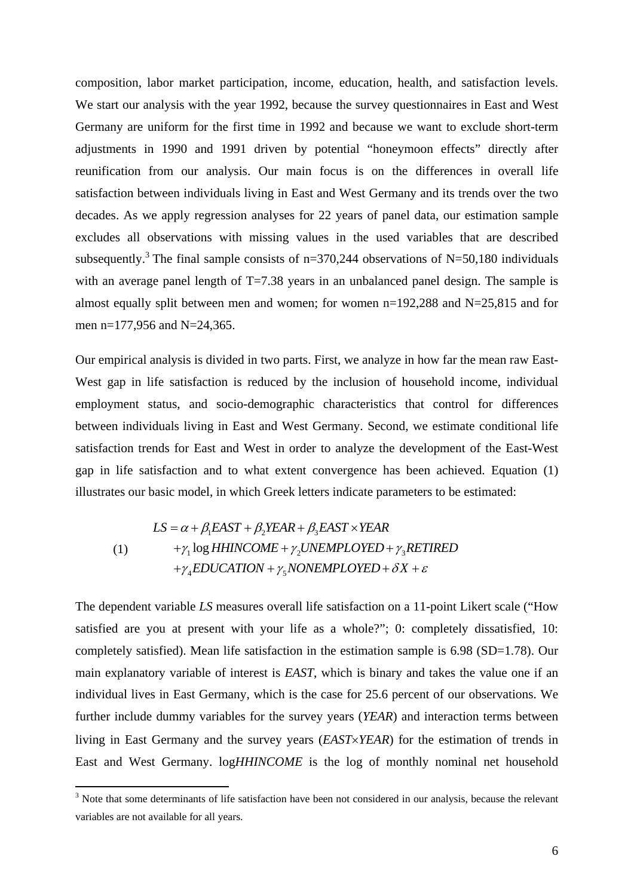composition, labor market participation, income, education, health, and satisfaction levels. We start our analysis with the year 1992, because the survey questionnaires in East and West Germany are uniform for the first time in 1992 and because we want to exclude short-term adjustments in 1990 and 1991 driven by potential "honeymoon effects" directly after reunification from our analysis. Our main focus is on the differences in overall life satisfaction between individuals living in East and West Germany and its trends over the two decades. As we apply regression analyses for 22 years of panel data, our estimation sample excludes all observations with missing values in the used variables that are described subsequently.<sup>3</sup> The final sample consists of  $n=370,244$  observations of N=50,180 individuals with an average panel length of  $T=7.38$  years in an unbalanced panel design. The sample is almost equally split between men and women; for women  $n=192,288$  and  $N=25,815$  and for men n=177,956 and N=24,365.

Our empirical analysis is divided in two parts. First, we analyze in how far the mean raw East-West gap in life satisfaction is reduced by the inclusion of household income, individual employment status, and socio-demographic characteristics that control for differences between individuals living in East and West Germany. Second, we estimate conditional life satisfaction trends for East and West in order to analyze the development of the East-West gap in life satisfaction and to what extent convergence has been achieved. Equation (1) illustrates our basic model, in which Greek letters indicate parameters to be estimated:

$$
LS = \alpha + \beta_1 EAST + \beta_2 YEAR + \beta_3 EAST \times YEAR
$$
  
(1) + $\gamma_1$ log *HHINCOME* +  $\gamma_2$ *UNEMPLOYED* +  $\gamma_3$ *RETIRED*  
+ $\gamma_4$ *EDUCATION* +  $\gamma_5$ *NONEMPLOYED* +  $\delta X$  +  $\varepsilon$ 

The dependent variable *LS* measures overall life satisfaction on a 11-point Likert scale ("How satisfied are you at present with your life as a whole?"; 0: completely dissatisfied, 10: completely satisfied). Mean life satisfaction in the estimation sample is 6.98 (SD=1.78). Our main explanatory variable of interest is *EAST*, which is binary and takes the value one if an individual lives in East Germany, which is the case for 25.6 percent of our observations. We further include dummy variables for the survey years (*YEAR*) and interaction terms between living in East Germany and the survey years (*EASTYEAR*) for the estimation of trends in East and West Germany. log*HHINCOME* is the log of monthly nominal net household

<sup>&</sup>lt;sup>3</sup> Note that some determinants of life satisfaction have been not considered in our analysis, because the relevant variables are not available for all years.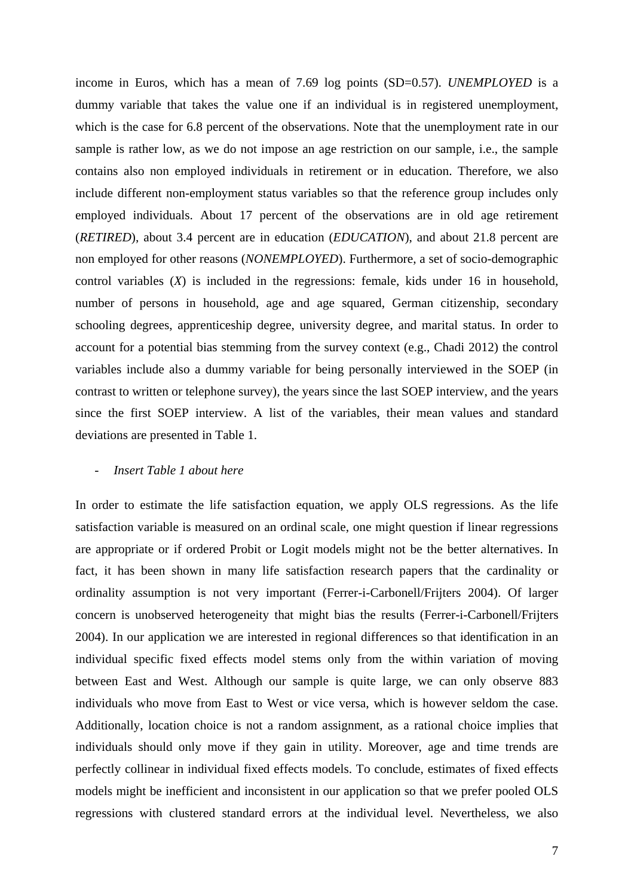income in Euros, which has a mean of 7.69 log points (SD=0.57). *UNEMPLOYED* is a dummy variable that takes the value one if an individual is in registered unemployment, which is the case for 6.8 percent of the observations. Note that the unemployment rate in our sample is rather low, as we do not impose an age restriction on our sample, i.e., the sample contains also non employed individuals in retirement or in education. Therefore, we also include different non-employment status variables so that the reference group includes only employed individuals. About 17 percent of the observations are in old age retirement (*RETIRED*), about 3.4 percent are in education (*EDUCATION*), and about 21.8 percent are non employed for other reasons (*NONEMPLOYED*). Furthermore, a set of socio-demographic control variables (*X*) is included in the regressions: female, kids under 16 in household, number of persons in household, age and age squared, German citizenship, secondary schooling degrees, apprenticeship degree, university degree, and marital status. In order to account for a potential bias stemming from the survey context (e.g., Chadi 2012) the control variables include also a dummy variable for being personally interviewed in the SOEP (in contrast to written or telephone survey), the years since the last SOEP interview, and the years since the first SOEP interview. A list of the variables, their mean values and standard deviations are presented in Table 1.

#### - *Insert Table 1 about here*

In order to estimate the life satisfaction equation, we apply OLS regressions. As the life satisfaction variable is measured on an ordinal scale, one might question if linear regressions are appropriate or if ordered Probit or Logit models might not be the better alternatives. In fact, it has been shown in many life satisfaction research papers that the cardinality or ordinality assumption is not very important (Ferrer-i-Carbonell/Frijters 2004). Of larger concern is unobserved heterogeneity that might bias the results (Ferrer-i-Carbonell/Frijters 2004). In our application we are interested in regional differences so that identification in an individual specific fixed effects model stems only from the within variation of moving between East and West. Although our sample is quite large, we can only observe 883 individuals who move from East to West or vice versa, which is however seldom the case. Additionally, location choice is not a random assignment, as a rational choice implies that individuals should only move if they gain in utility. Moreover, age and time trends are perfectly collinear in individual fixed effects models. To conclude, estimates of fixed effects models might be inefficient and inconsistent in our application so that we prefer pooled OLS regressions with clustered standard errors at the individual level. Nevertheless, we also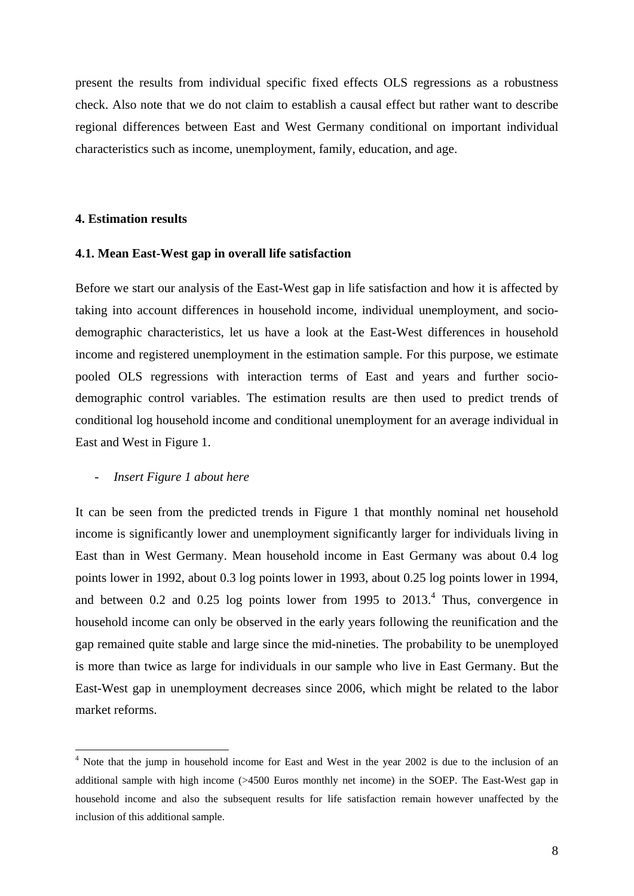present the results from individual specific fixed effects OLS regressions as a robustness check. Also note that we do not claim to establish a causal effect but rather want to describe regional differences between East and West Germany conditional on important individual characteristics such as income, unemployment, family, education, and age.

#### **4. Estimation results**

#### **4.1. Mean East-West gap in overall life satisfaction**

Before we start our analysis of the East-West gap in life satisfaction and how it is affected by taking into account differences in household income, individual unemployment, and sociodemographic characteristics, let us have a look at the East-West differences in household income and registered unemployment in the estimation sample. For this purpose, we estimate pooled OLS regressions with interaction terms of East and years and further sociodemographic control variables. The estimation results are then used to predict trends of conditional log household income and conditional unemployment for an average individual in East and West in Figure 1.

#### - *Insert Figure 1 about here*

It can be seen from the predicted trends in Figure 1 that monthly nominal net household income is significantly lower and unemployment significantly larger for individuals living in East than in West Germany. Mean household income in East Germany was about 0.4 log points lower in 1992, about 0.3 log points lower in 1993, about 0.25 log points lower in 1994, and between 0.2 and 0.25 log points lower from 1995 to  $2013<sup>4</sup>$ . Thus, convergence in household income can only be observed in the early years following the reunification and the gap remained quite stable and large since the mid-nineties. The probability to be unemployed is more than twice as large for individuals in our sample who live in East Germany. But the East-West gap in unemployment decreases since 2006, which might be related to the labor market reforms.

<sup>&</sup>lt;sup>4</sup> Note that the jump in household income for East and West in the year 2002 is due to the inclusion of an additional sample with high income (>4500 Euros monthly net income) in the SOEP. The East-West gap in household income and also the subsequent results for life satisfaction remain however unaffected by the inclusion of this additional sample.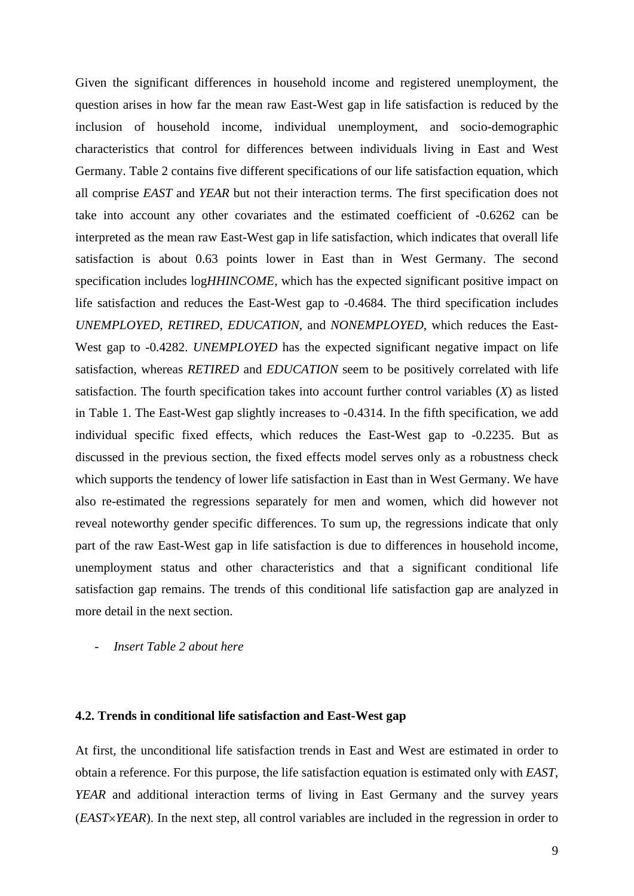Given the significant differences in household income and registered unemployment, the question arises in how far the mean raw East-West gap in life satisfaction is reduced by the inclusion of household income, individual unemployment, and socio-demographic characteristics that control for differences between individuals living in East and West Germany. Table 2 contains five different specifications of our life satisfaction equation, which all comprise *EAST* and *YEAR* but not their interaction terms. The first specification does not take into account any other covariates and the estimated coefficient of -0.6262 can be interpreted as the mean raw East-West gap in life satisfaction, which indicates that overall life satisfaction is about 0.63 points lower in East than in West Germany. The second specification includes log*HHINCOME*, which has the expected significant positive impact on life satisfaction and reduces the East-West gap to -0.4684. The third specification includes *UNEMPLOYED*, *RETIRED*, *EDUCATION*, and *NONEMPLOYED*, which reduces the East-West gap to -0.4282. *UNEMPLOYED* has the expected significant negative impact on life satisfaction, whereas *RETIRED* and *EDUCATION* seem to be positively correlated with life satisfaction. The fourth specification takes into account further control variables (*X*) as listed in Table 1. The East-West gap slightly increases to -0.4314. In the fifth specification, we add individual specific fixed effects, which reduces the East-West gap to -0.2235. But as discussed in the previous section, the fixed effects model serves only as a robustness check which supports the tendency of lower life satisfaction in East than in West Germany. We have also re-estimated the regressions separately for men and women, which did however not reveal noteworthy gender specific differences. To sum up, the regressions indicate that only part of the raw East-West gap in life satisfaction is due to differences in household income, unemployment status and other characteristics and that a significant conditional life satisfaction gap remains. The trends of this conditional life satisfaction gap are analyzed in more detail in the next section.

- *Insert Table 2 about here* 

#### **4.2. Trends in conditional life satisfaction and East-West gap**

At first, the unconditional life satisfaction trends in East and West are estimated in order to obtain a reference. For this purpose, the life satisfaction equation is estimated only with *EAST*, *YEAR* and additional interaction terms of living in East Germany and the survey years (*EASTYEAR*). In the next step, all control variables are included in the regression in order to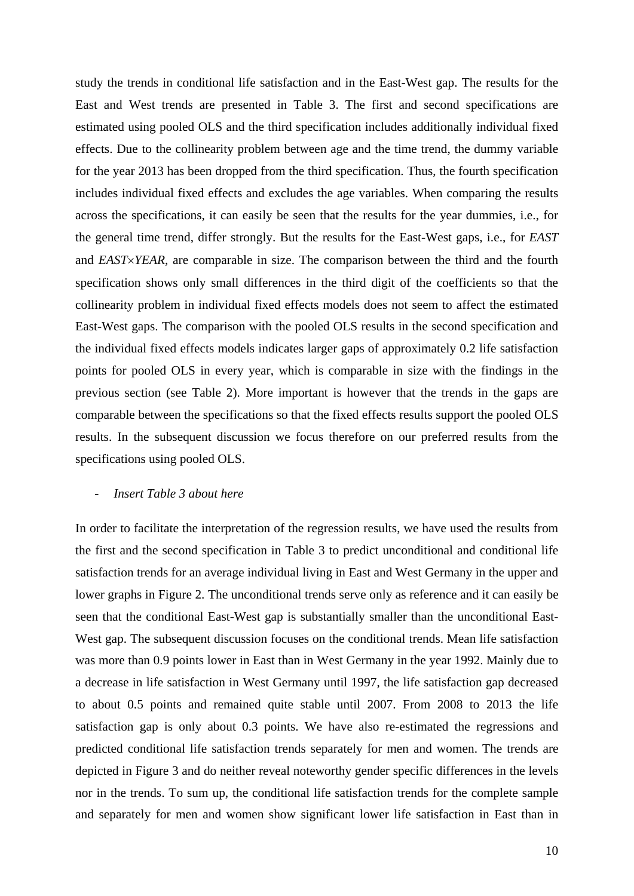study the trends in conditional life satisfaction and in the East-West gap. The results for the East and West trends are presented in Table 3. The first and second specifications are estimated using pooled OLS and the third specification includes additionally individual fixed effects. Due to the collinearity problem between age and the time trend, the dummy variable for the year 2013 has been dropped from the third specification. Thus, the fourth specification includes individual fixed effects and excludes the age variables. When comparing the results across the specifications, it can easily be seen that the results for the year dummies, i.e., for the general time trend, differ strongly. But the results for the East-West gaps, i.e., for *EAST* and *EASTYEAR*, are comparable in size. The comparison between the third and the fourth specification shows only small differences in the third digit of the coefficients so that the collinearity problem in individual fixed effects models does not seem to affect the estimated East-West gaps. The comparison with the pooled OLS results in the second specification and the individual fixed effects models indicates larger gaps of approximately 0.2 life satisfaction points for pooled OLS in every year, which is comparable in size with the findings in the previous section (see Table 2). More important is however that the trends in the gaps are comparable between the specifications so that the fixed effects results support the pooled OLS results. In the subsequent discussion we focus therefore on our preferred results from the specifications using pooled OLS.

#### - *Insert Table 3 about here*

In order to facilitate the interpretation of the regression results, we have used the results from the first and the second specification in Table 3 to predict unconditional and conditional life satisfaction trends for an average individual living in East and West Germany in the upper and lower graphs in Figure 2. The unconditional trends serve only as reference and it can easily be seen that the conditional East-West gap is substantially smaller than the unconditional East-West gap. The subsequent discussion focuses on the conditional trends. Mean life satisfaction was more than 0.9 points lower in East than in West Germany in the year 1992. Mainly due to a decrease in life satisfaction in West Germany until 1997, the life satisfaction gap decreased to about 0.5 points and remained quite stable until 2007. From 2008 to 2013 the life satisfaction gap is only about 0.3 points. We have also re-estimated the regressions and predicted conditional life satisfaction trends separately for men and women. The trends are depicted in Figure 3 and do neither reveal noteworthy gender specific differences in the levels nor in the trends. To sum up, the conditional life satisfaction trends for the complete sample and separately for men and women show significant lower life satisfaction in East than in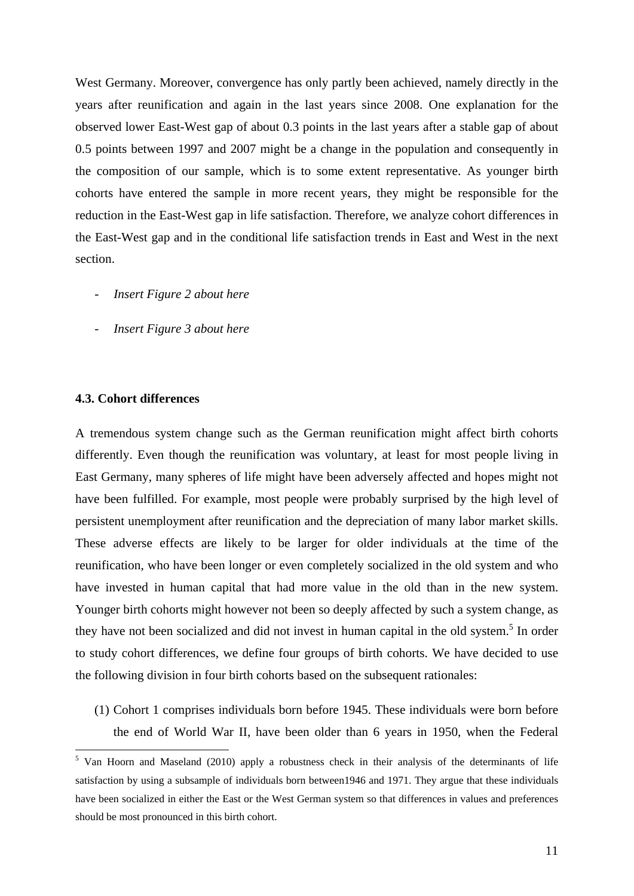West Germany. Moreover, convergence has only partly been achieved, namely directly in the years after reunification and again in the last years since 2008. One explanation for the observed lower East-West gap of about 0.3 points in the last years after a stable gap of about 0.5 points between 1997 and 2007 might be a change in the population and consequently in the composition of our sample, which is to some extent representative. As younger birth cohorts have entered the sample in more recent years, they might be responsible for the reduction in the East-West gap in life satisfaction. Therefore, we analyze cohort differences in the East-West gap and in the conditional life satisfaction trends in East and West in the next section.

- *Insert Figure 2 about here*
- *Insert Figure 3 about here*

#### **4.3. Cohort differences**

A tremendous system change such as the German reunification might affect birth cohorts differently. Even though the reunification was voluntary, at least for most people living in East Germany, many spheres of life might have been adversely affected and hopes might not have been fulfilled. For example, most people were probably surprised by the high level of persistent unemployment after reunification and the depreciation of many labor market skills. These adverse effects are likely to be larger for older individuals at the time of the reunification, who have been longer or even completely socialized in the old system and who have invested in human capital that had more value in the old than in the new system. Younger birth cohorts might however not been so deeply affected by such a system change, as they have not been socialized and did not invest in human capital in the old system.<sup>5</sup> In order to study cohort differences, we define four groups of birth cohorts. We have decided to use the following division in four birth cohorts based on the subsequent rationales:

(1) Cohort 1 comprises individuals born before 1945. These individuals were born before the end of World War II, have been older than 6 years in 1950, when the Federal

<sup>&</sup>lt;sup>5</sup> Van Hoorn and Maseland (2010) apply a robustness check in their analysis of the determinants of life satisfaction by using a subsample of individuals born between1946 and 1971. They argue that these individuals have been socialized in either the East or the West German system so that differences in values and preferences should be most pronounced in this birth cohort.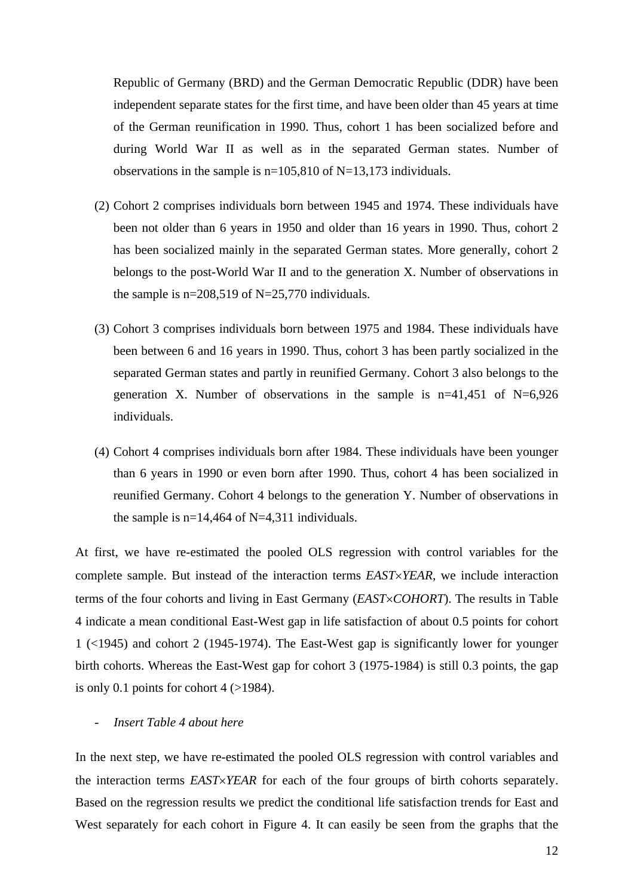Republic of Germany (BRD) and the German Democratic Republic (DDR) have been independent separate states for the first time, and have been older than 45 years at time of the German reunification in 1990. Thus, cohort 1 has been socialized before and during World War II as well as in the separated German states. Number of observations in the sample is n=105,810 of N=13,173 individuals.

- (2) Cohort 2 comprises individuals born between 1945 and 1974. These individuals have been not older than 6 years in 1950 and older than 16 years in 1990. Thus, cohort 2 has been socialized mainly in the separated German states. More generally, cohort 2 belongs to the post-World War II and to the generation X. Number of observations in the sample is  $n=208,519$  of N=25,770 individuals.
- (3) Cohort 3 comprises individuals born between 1975 and 1984. These individuals have been between 6 and 16 years in 1990. Thus, cohort 3 has been partly socialized in the separated German states and partly in reunified Germany. Cohort 3 also belongs to the generation X. Number of observations in the sample is  $n=41,451$  of N=6,926 individuals.
- (4) Cohort 4 comprises individuals born after 1984. These individuals have been younger than 6 years in 1990 or even born after 1990. Thus, cohort 4 has been socialized in reunified Germany. Cohort 4 belongs to the generation Y. Number of observations in the sample is  $n=14,464$  of N=4,311 individuals.

At first, we have re-estimated the pooled OLS regression with control variables for the complete sample. But instead of the interaction terms *EASTYEAR*, we include interaction terms of the four cohorts and living in East Germany (*EASTCOHORT*). The results in Table 4 indicate a mean conditional East-West gap in life satisfaction of about 0.5 points for cohort 1 (<1945) and cohort 2 (1945-1974). The East-West gap is significantly lower for younger birth cohorts. Whereas the East-West gap for cohort 3 (1975-1984) is still 0.3 points, the gap is only 0.1 points for cohort  $4$  ( $>1984$ ).

#### - *Insert Table 4 about here*

In the next step, we have re-estimated the pooled OLS regression with control variables and the interaction terms *EASTYEAR* for each of the four groups of birth cohorts separately. Based on the regression results we predict the conditional life satisfaction trends for East and West separately for each cohort in Figure 4. It can easily be seen from the graphs that the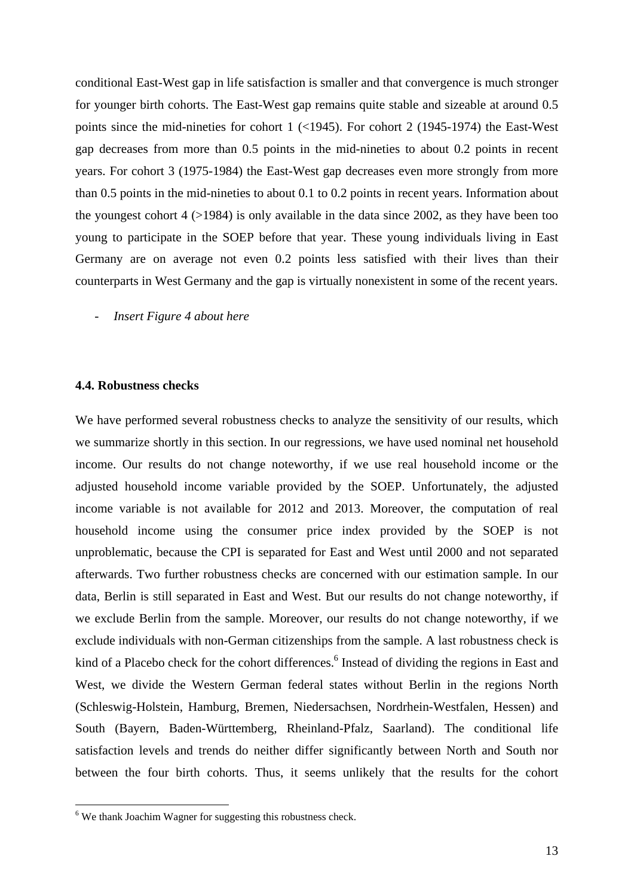conditional East-West gap in life satisfaction is smaller and that convergence is much stronger for younger birth cohorts. The East-West gap remains quite stable and sizeable at around 0.5 points since the mid-nineties for cohort 1 (<1945). For cohort 2 (1945-1974) the East-West gap decreases from more than 0.5 points in the mid-nineties to about 0.2 points in recent years. For cohort 3 (1975-1984) the East-West gap decreases even more strongly from more than 0.5 points in the mid-nineties to about 0.1 to 0.2 points in recent years. Information about the youngest cohort  $4$  ( $>1984$ ) is only available in the data since 2002, as they have been too young to participate in the SOEP before that year. These young individuals living in East Germany are on average not even 0.2 points less satisfied with their lives than their counterparts in West Germany and the gap is virtually nonexistent in some of the recent years.

- *Insert Figure 4 about here* 

#### **4.4. Robustness checks**

We have performed several robustness checks to analyze the sensitivity of our results, which we summarize shortly in this section. In our regressions, we have used nominal net household income. Our results do not change noteworthy, if we use real household income or the adjusted household income variable provided by the SOEP. Unfortunately, the adjusted income variable is not available for 2012 and 2013. Moreover, the computation of real household income using the consumer price index provided by the SOEP is not unproblematic, because the CPI is separated for East and West until 2000 and not separated afterwards. Two further robustness checks are concerned with our estimation sample. In our data, Berlin is still separated in East and West. But our results do not change noteworthy, if we exclude Berlin from the sample. Moreover, our results do not change noteworthy, if we exclude individuals with non-German citizenships from the sample. A last robustness check is kind of a Placebo check for the cohort differences.<sup>6</sup> Instead of dividing the regions in East and West, we divide the Western German federal states without Berlin in the regions North (Schleswig-Holstein, Hamburg, Bremen, Niedersachsen, Nordrhein-Westfalen, Hessen) and South (Bayern, Baden-Württemberg, Rheinland-Pfalz, Saarland). The conditional life satisfaction levels and trends do neither differ significantly between North and South nor between the four birth cohorts. Thus, it seems unlikely that the results for the cohort

<sup>&</sup>lt;sup>6</sup> We thank Joachim Wagner for suggesting this robustness check.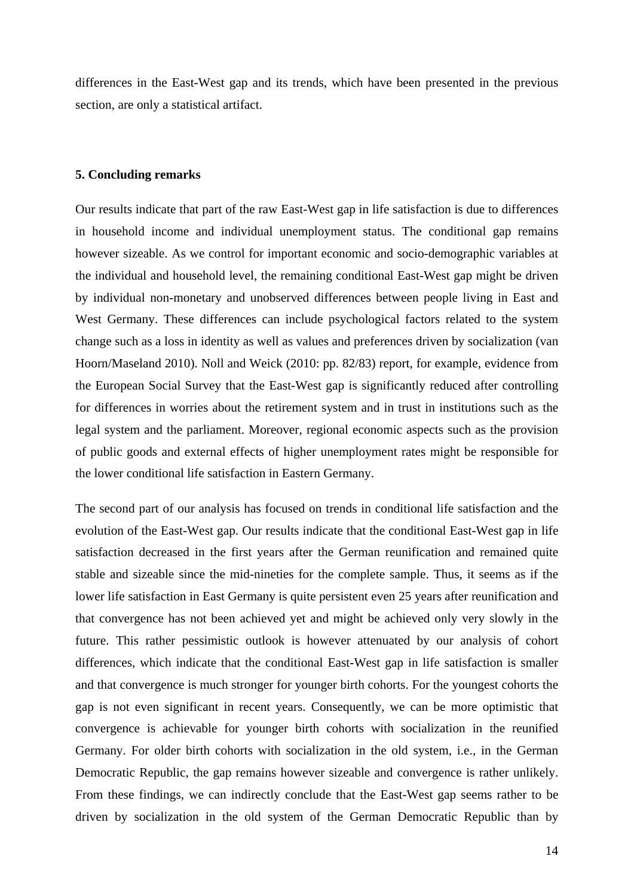differences in the East-West gap and its trends, which have been presented in the previous section, are only a statistical artifact.

#### **5. Concluding remarks**

Our results indicate that part of the raw East-West gap in life satisfaction is due to differences in household income and individual unemployment status. The conditional gap remains however sizeable. As we control for important economic and socio-demographic variables at the individual and household level, the remaining conditional East-West gap might be driven by individual non-monetary and unobserved differences between people living in East and West Germany. These differences can include psychological factors related to the system change such as a loss in identity as well as values and preferences driven by socialization (van Hoorn/Maseland 2010). Noll and Weick (2010: pp. 82/83) report, for example, evidence from the European Social Survey that the East-West gap is significantly reduced after controlling for differences in worries about the retirement system and in trust in institutions such as the legal system and the parliament. Moreover, regional economic aspects such as the provision of public goods and external effects of higher unemployment rates might be responsible for the lower conditional life satisfaction in Eastern Germany.

The second part of our analysis has focused on trends in conditional life satisfaction and the evolution of the East-West gap. Our results indicate that the conditional East-West gap in life satisfaction decreased in the first years after the German reunification and remained quite stable and sizeable since the mid-nineties for the complete sample. Thus, it seems as if the lower life satisfaction in East Germany is quite persistent even 25 years after reunification and that convergence has not been achieved yet and might be achieved only very slowly in the future. This rather pessimistic outlook is however attenuated by our analysis of cohort differences, which indicate that the conditional East-West gap in life satisfaction is smaller and that convergence is much stronger for younger birth cohorts. For the youngest cohorts the gap is not even significant in recent years. Consequently, we can be more optimistic that convergence is achievable for younger birth cohorts with socialization in the reunified Germany. For older birth cohorts with socialization in the old system, i.e., in the German Democratic Republic, the gap remains however sizeable and convergence is rather unlikely. From these findings, we can indirectly conclude that the East-West gap seems rather to be driven by socialization in the old system of the German Democratic Republic than by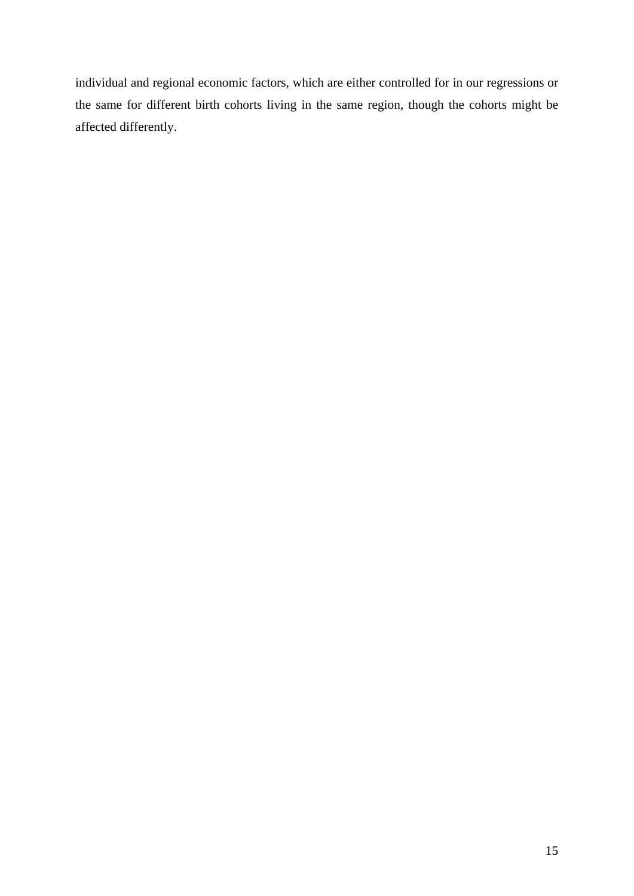individual and regional economic factors, which are either controlled for in our regressions or the same for different birth cohorts living in the same region, though the cohorts might be affected differently.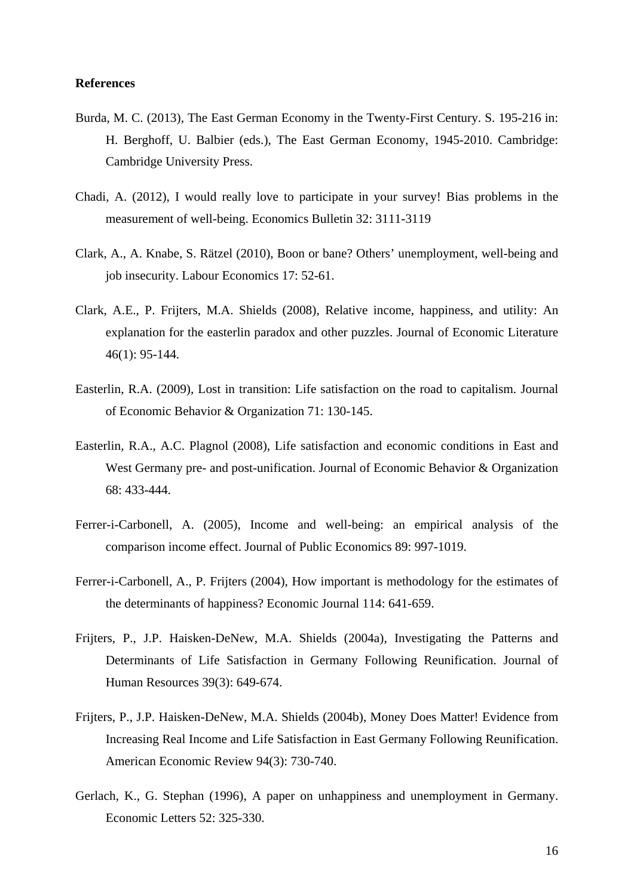#### **References**

- Burda, M. C. (2013), The East German Economy in the Twenty-First Century. S. 195-216 in: H. Berghoff, U. Balbier (eds.), The East German Economy, 1945-2010. Cambridge: Cambridge University Press.
- Chadi, A. (2012), I would really love to participate in your survey! Bias problems in the measurement of well-being. Economics Bulletin 32: 3111-3119
- Clark, A., A. Knabe, S. Rätzel (2010), Boon or bane? Others' unemployment, well-being and job insecurity. Labour Economics 17: 52-61.
- Clark, A.E., P. Frijters, M.A. Shields (2008), Relative income, happiness, and utility: An explanation for the easterlin paradox and other puzzles. Journal of Economic Literature 46(1): 95-144.
- Easterlin, R.A. (2009), Lost in transition: Life satisfaction on the road to capitalism. Journal of Economic Behavior & Organization 71: 130-145.
- Easterlin, R.A., A.C. Plagnol (2008), Life satisfaction and economic conditions in East and West Germany pre- and post-unification. Journal of Economic Behavior & Organization 68: 433-444.
- Ferrer-i-Carbonell, A. (2005), Income and well-being: an empirical analysis of the comparison income effect. Journal of Public Economics 89: 997-1019.
- Ferrer-i-Carbonell, A., P. Frijters (2004), How important is methodology for the estimates of the determinants of happiness? Economic Journal 114: 641-659.
- Frijters, P., J.P. Haisken-DeNew, M.A. Shields (2004a), Investigating the Patterns and Determinants of Life Satisfaction in Germany Following Reunification. Journal of Human Resources 39(3): 649-674.
- Frijters, P., J.P. Haisken-DeNew, M.A. Shields (2004b), Money Does Matter! Evidence from Increasing Real Income and Life Satisfaction in East Germany Following Reunification. American Economic Review 94(3): 730-740.
- Gerlach, K., G. Stephan (1996), A paper on unhappiness and unemployment in Germany. Economic Letters 52: 325-330.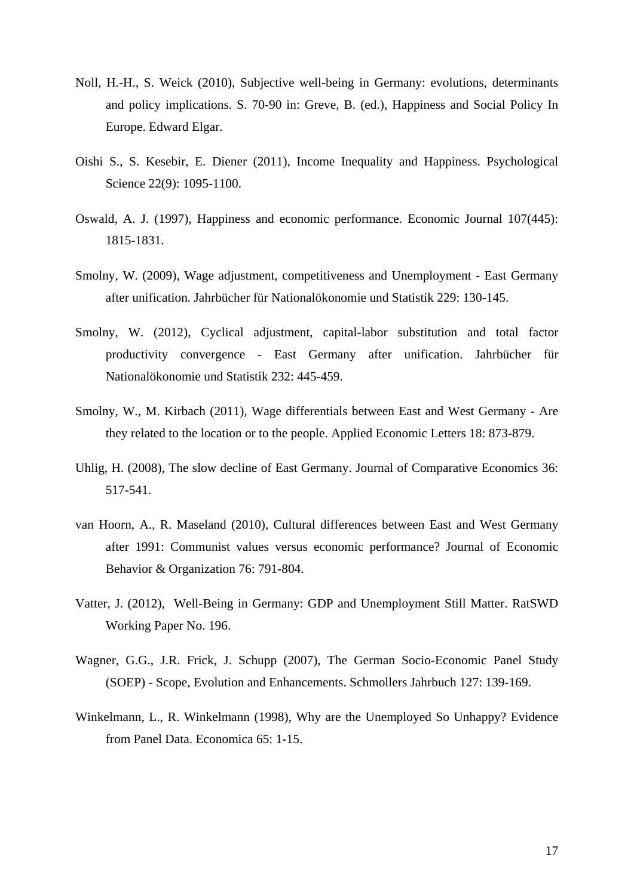- Noll, H.-H., S. Weick (2010), Subjective well-being in Germany: evolutions, determinants and policy implications. S. 70-90 in: Greve, B. (ed.), Happiness and Social Policy In Europe. Edward Elgar.
- Oishi S., S. Kesebir, E. Diener (2011), Income Inequality and Happiness. Psychological Science 22(9): 1095-1100.
- Oswald, A. J. (1997), Happiness and economic performance. Economic Journal 107(445): 1815-1831.
- Smolny, W. (2009), Wage adjustment, competitiveness and Unemployment East Germany after unification. Jahrbücher für Nationalökonomie und Statistik 229: 130-145.
- Smolny, W. (2012), Cyclical adjustment, capital-labor substitution and total factor productivity convergence - East Germany after unification. Jahrbücher für Nationalökonomie und Statistik 232: 445-459.
- Smolny, W., M. Kirbach (2011), Wage differentials between East and West Germany Are they related to the location or to the people. Applied Economic Letters 18: 873-879.
- Uhlig, H. (2008), The slow decline of East Germany. Journal of Comparative Economics 36: 517-541.
- van Hoorn, A., R. Maseland (2010), Cultural differences between East and West Germany after 1991: Communist values versus economic performance? Journal of Economic Behavior & Organization 76: 791-804.
- Vatter, J. (2012), Well-Being in Germany: GDP and Unemployment Still Matter. RatSWD Working Paper No. 196.
- Wagner, G.G., J.R. Frick, J. Schupp (2007), The German Socio-Economic Panel Study (SOEP) - Scope, Evolution and Enhancements. Schmollers Jahrbuch 127: 139-169.
- Winkelmann, L., R. Winkelmann (1998), Why are the Unemployed So Unhappy? Evidence from Panel Data. Economica 65: 1-15.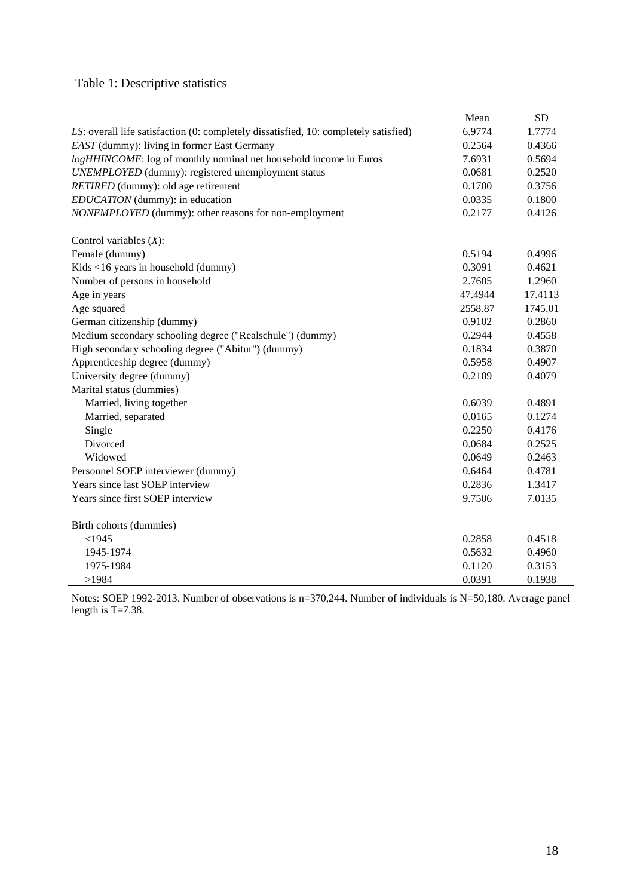# Table 1: Descriptive statistics

|                                                                                      | Mean    | <b>SD</b> |
|--------------------------------------------------------------------------------------|---------|-----------|
| LS: overall life satisfaction (0: completely dissatisfied, 10: completely satisfied) | 6.9774  | 1.7774    |
| EAST (dummy): living in former East Germany                                          | 0.2564  | 0.4366    |
| logHHINCOME: log of monthly nominal net household income in Euros                    | 7.6931  | 0.5694    |
| UNEMPLOYED (dummy): registered unemployment status                                   | 0.0681  | 0.2520    |
| RETIRED (dummy): old age retirement                                                  | 0.1700  | 0.3756    |
| EDUCATION (dummy): in education                                                      | 0.0335  | 0.1800    |
| NONEMPLOYED (dummy): other reasons for non-employment                                | 0.2177  | 0.4126    |
| Control variables $(X)$ :                                                            |         |           |
| Female (dummy)                                                                       | 0.5194  | 0.4996    |
| Kids <16 years in household (dummy)                                                  | 0.3091  | 0.4621    |
| Number of persons in household                                                       | 2.7605  | 1.2960    |
| Age in years                                                                         | 47.4944 | 17.4113   |
| Age squared                                                                          | 2558.87 | 1745.01   |
| German citizenship (dummy)                                                           | 0.9102  | 0.2860    |
| Medium secondary schooling degree ("Realschule") (dummy)                             | 0.2944  | 0.4558    |
| High secondary schooling degree ("Abitur") (dummy)                                   | 0.1834  | 0.3870    |
| Apprenticeship degree (dummy)                                                        | 0.5958  | 0.4907    |
| University degree (dummy)                                                            | 0.2109  | 0.4079    |
| Marital status (dummies)                                                             |         |           |
| Married, living together                                                             | 0.6039  | 0.4891    |
| Married, separated                                                                   | 0.0165  | 0.1274    |
| Single                                                                               | 0.2250  | 0.4176    |
| Divorced                                                                             | 0.0684  | 0.2525    |
| Widowed                                                                              | 0.0649  | 0.2463    |
| Personnel SOEP interviewer (dummy)                                                   | 0.6464  | 0.4781    |
| Years since last SOEP interview                                                      | 0.2836  | 1.3417    |
| Years since first SOEP interview                                                     | 9.7506  | 7.0135    |
| Birth cohorts (dummies)                                                              |         |           |
| $<$ 1945                                                                             | 0.2858  | 0.4518    |
| 1945-1974                                                                            | 0.5632  | 0.4960    |
| 1975-1984                                                                            | 0.1120  | 0.3153    |
| >1984                                                                                | 0.0391  | 0.1938    |

Notes: SOEP 1992-2013. Number of observations is n=370,244. Number of individuals is N=50,180. Average panel length is T=7.38.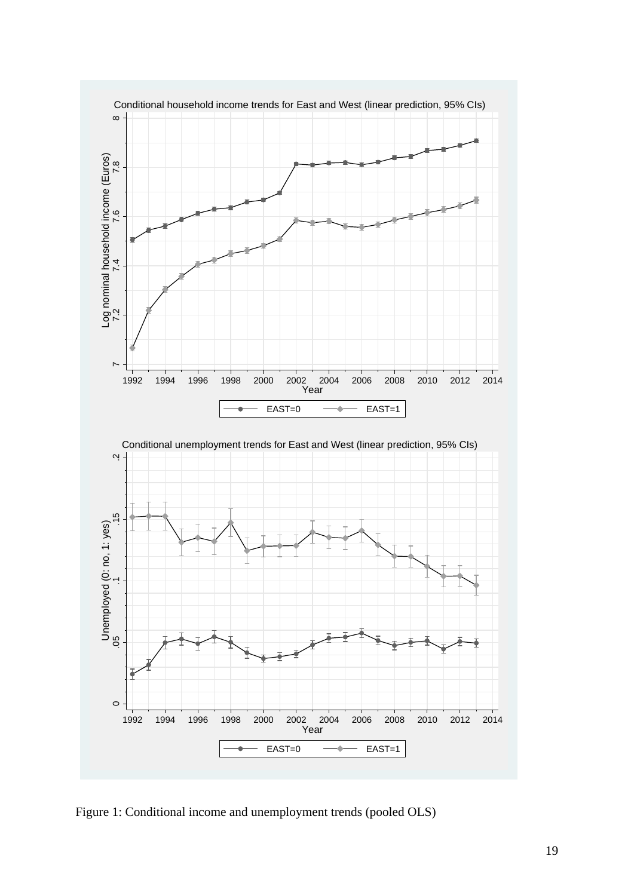

Figure 1: Conditional income and unemployment trends (pooled OLS)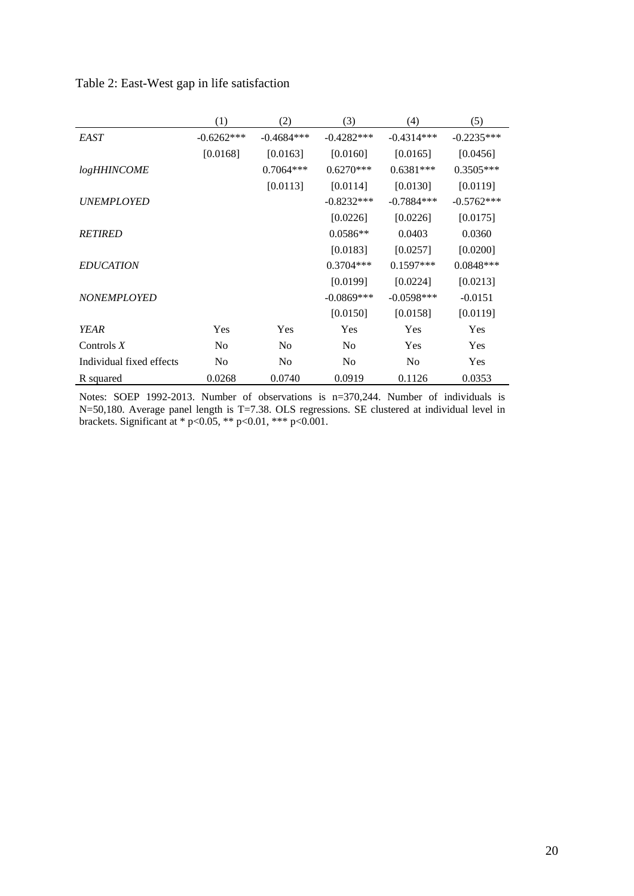| Table 2: East-West gap in life satisfaction |  |
|---------------------------------------------|--|
|---------------------------------------------|--|

|                          | (1)            | (2)            | (3)            | (4)            | (5)          |
|--------------------------|----------------|----------------|----------------|----------------|--------------|
| <b>EAST</b>              | $-0.6262***$   | $-0.4684***$   | $-0.4282***$   | $-0.4314***$   | $-0.2235***$ |
|                          | [0.0168]       | [0.0163]       | [0.0160]       | [0.0165]       | [0.0456]     |
| <i>logHHINCOME</i>       |                | $0.7064***$    | $0.6270***$    | $0.6381***$    | $0.3505***$  |
|                          |                | [0.0113]       | [0.0114]       | [0.0130]       | [0.0119]     |
| <b>UNEMPLOYED</b>        |                |                | $-0.8232***$   | $-0.7884***$   | $-0.5762***$ |
|                          |                |                | [0.0226]       | [0.0226]       | [0.0175]     |
| <b>RETIRED</b>           |                |                | $0.0586**$     | 0.0403         | 0.0360       |
|                          |                |                | [0.0183]       | [0.0257]       | [0.0200]     |
| <b>EDUCATION</b>         |                |                | $0.3704***$    | $0.1597***$    | $0.0848***$  |
|                          |                |                | [0.0199]       | [0.0224]       | [0.0213]     |
| <b>NONEMPLOYED</b>       |                |                | $-0.0869***$   | $-0.0598***$   | $-0.0151$    |
|                          |                |                | [0.0150]       | [0.0158]       | [0.0119]     |
| <b>YEAR</b>              | Yes            | <b>Yes</b>     | <b>Yes</b>     | Yes            | Yes          |
| Controls $X$             | N <sub>0</sub> | No             | N <sub>0</sub> | Yes            | Yes          |
| Individual fixed effects | N <sub>0</sub> | N <sub>0</sub> | N <sub>0</sub> | N <sub>0</sub> | Yes          |
| R squared                | 0.0268         | 0.0740         | 0.0919         | 0.1126         | 0.0353       |

Notes: SOEP 1992-2013. Number of observations is n=370,244. Number of individuals is N=50,180. Average panel length is T=7.38. OLS regressions. SE clustered at individual level in brackets. Significant at \*  $p<0.05$ , \*\*  $p<0.01$ , \*\*\*  $p<0.001$ .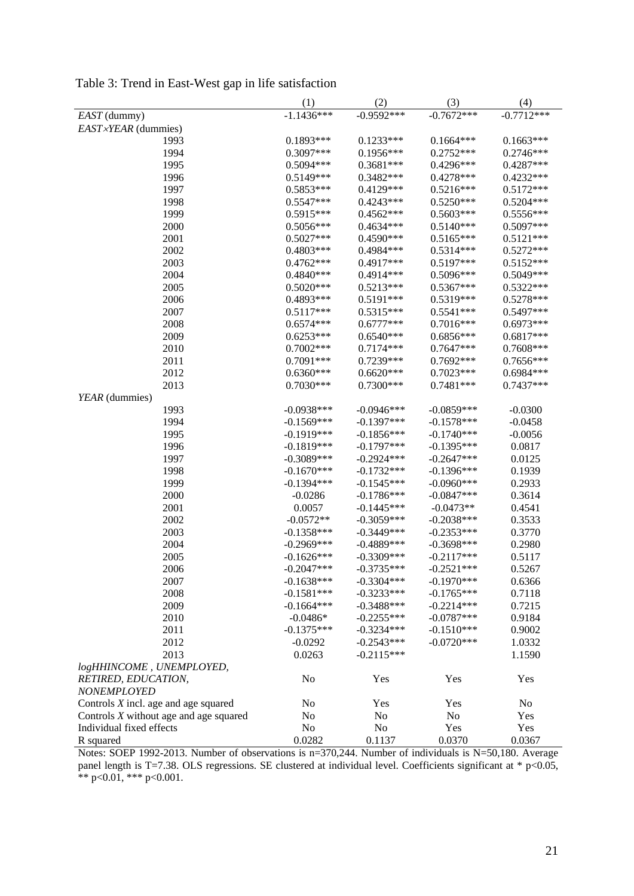| $-1.1436***$<br>$-0.7672***$<br>$-0.7712***$<br>$-0.9592***$<br>EAST (dummy)<br>EAST×YEAR (dummies)<br>1993<br>$0.1893***$<br>$0.1233***$<br>$0.1664***$<br>$0.1663***$<br>1994<br>$0.3097***$<br>$0.1956***$<br>$0.2746***$<br>$0.2752***$<br>0.4287***<br>1995<br>$0.5094***$<br>$0.3681***$<br>$0.4296***$<br>0.3482***<br>$0.4278***$<br>$0.4232***$<br>1996<br>$0.5149***$<br>1997<br>$0.5853***$<br>$0.4129***$<br>$0.5216***$<br>$0.5172***$<br>$0.5204***$<br>1998<br>$0.5547***$<br>$0.4243***$<br>$0.5250***$<br>$0.4562***$<br>0.5556***<br>1999<br>$0.5915***$<br>$0.5603***$<br>2000<br>$0.4634***$<br>$0.5140***$<br>$0.5097***$<br>$0.5056***$<br>2001<br>$0.4590***$<br>$0.5165***$<br>$0.5121***$<br>$0.5027***$<br>2002<br>0.4984 ***<br>$0.5272***$<br>$0.4803***$<br>$0.5314***$<br>2003<br>$0.4917***$<br>$0.5197***$<br>$0.5152***$<br>$0.4762***$<br>2004<br>0.5096***<br>0.5049***<br>$0.4840***$<br>0.4914***<br>$0.5020***$<br>$0.5213***$<br>$0.5367***$<br>0.5322***<br>2005<br>2006<br>0.4893***<br>$0.5191***$<br>$0.5319***$<br>0.5278***<br>2007<br>$0.5117***$<br>$0.5315***$<br>$0.5541***$<br>0.5497***<br>$0.6973***$<br>2008<br>$0.6574***$<br>$0.6777***$<br>$0.7016***$<br>$0.6817***$<br>2009<br>$0.6253***$<br>$0.6540***$<br>$0.6856***$<br>$0.7002***$<br>$0.7174***$<br>$0.7647***$<br>0.7608***<br>2010<br>2011<br>$0.7091***$<br>$0.7239***$<br>$0.7692***$<br>$0.7656***$<br>2012<br>$0.6620***$<br>$0.7023***$<br>0.6984 ***<br>$0.6360***$<br>2013<br>$0.7030***$<br>$0.7300***$<br>$0.7481***$<br>$0.7437***$<br>YEAR (dummies)<br>1993<br>$-0.0938***$<br>$-0.0946***$<br>$-0.0859***$<br>$-0.0300$<br>$-0.1397***$<br>$-0.1578***$<br>1994<br>$-0.1569***$<br>$-0.0458$<br>$-0.1919***$<br>$-0.1856***$<br>$-0.1740***$<br>$-0.0056$<br>1995<br>$-0.1819***$<br>$-0.1797***$<br>$-0.1395***$<br>0.0817<br>1996<br>1997<br>$-0.3089***$<br>$-0.2924***$<br>$-0.2647***$<br>0.0125<br>1998<br>$-0.1670***$<br>$-0.1732***$<br>$-0.1396***$<br>0.1939<br>1999<br>$-0.1394***$<br>$-0.1545***$<br>$-0.0960***$<br>0.2933<br>2000<br>$-0.1786***$<br>$-0.0847***$<br>0.3614<br>$-0.0286$<br>2001<br>$-0.1445***$<br>$-0.0473**$<br>0.4541<br>0.0057<br>2002<br>$-0.0572**$<br>$-0.3059***$<br>$-0.2038***$<br>0.3533<br>2003<br>$-0.3449***$<br>0.3770<br>$-0.1358***$<br>$-0.2353***$<br>2004<br>$-0.4889$ ***<br>0.2980<br>$-0.2969$ ***<br>$-0.3698***$<br>2005<br>$-0.3309$ ***<br>0.5117<br>$-0.1626***$<br>$-0.2117***$<br>2006<br>$-0.2047***$<br>$-0.3735***$<br>$-0.2521***$<br>0.5267<br>$-0.1970***$<br>2007<br>$-0.1638***$<br>$-0.3304***$<br>0.6366<br>2008<br>$-0.1581***$<br>$-0.3233***$<br>$-0.1765***$<br>0.7118<br>2009<br>$-0.3488$ ***<br>$-0.2214***$<br>0.7215<br>$-0.1664***$<br>2010<br>$-0.2255***$<br>$-0.0787***$<br>$-0.0486*$<br>0.9184<br>2011<br>$-0.1510***$<br>$-0.1375***$<br>$-0.3234***$<br>0.9002<br>2012<br>$-0.2543***$<br>$-0.0720***$<br>$-0.0292$<br>1.0332 |      | (1)    | (2)          | (3) | (4)    |
|--------------------------------------------------------------------------------------------------------------------------------------------------------------------------------------------------------------------------------------------------------------------------------------------------------------------------------------------------------------------------------------------------------------------------------------------------------------------------------------------------------------------------------------------------------------------------------------------------------------------------------------------------------------------------------------------------------------------------------------------------------------------------------------------------------------------------------------------------------------------------------------------------------------------------------------------------------------------------------------------------------------------------------------------------------------------------------------------------------------------------------------------------------------------------------------------------------------------------------------------------------------------------------------------------------------------------------------------------------------------------------------------------------------------------------------------------------------------------------------------------------------------------------------------------------------------------------------------------------------------------------------------------------------------------------------------------------------------------------------------------------------------------------------------------------------------------------------------------------------------------------------------------------------------------------------------------------------------------------------------------------------------------------------------------------------------------------------------------------------------------------------------------------------------------------------------------------------------------------------------------------------------------------------------------------------------------------------------------------------------------------------------------------------------------------------------------------------------------------------------------------------------------------------------------------------------------------------------------------------------------------------------------------------------------------------------------------------------------------------------------------------------------------------------------------------------------------------------------------------------------------------------------------------------------------------------------------|------|--------|--------------|-----|--------|
|                                                                                                                                                                                                                                                                                                                                                                                                                                                                                                                                                                                                                                                                                                                                                                                                                                                                                                                                                                                                                                                                                                                                                                                                                                                                                                                                                                                                                                                                                                                                                                                                                                                                                                                                                                                                                                                                                                                                                                                                                                                                                                                                                                                                                                                                                                                                                                                                                                                                                                                                                                                                                                                                                                                                                                                                                                                                                                                                                        |      |        |              |     |        |
|                                                                                                                                                                                                                                                                                                                                                                                                                                                                                                                                                                                                                                                                                                                                                                                                                                                                                                                                                                                                                                                                                                                                                                                                                                                                                                                                                                                                                                                                                                                                                                                                                                                                                                                                                                                                                                                                                                                                                                                                                                                                                                                                                                                                                                                                                                                                                                                                                                                                                                                                                                                                                                                                                                                                                                                                                                                                                                                                                        |      |        |              |     |        |
|                                                                                                                                                                                                                                                                                                                                                                                                                                                                                                                                                                                                                                                                                                                                                                                                                                                                                                                                                                                                                                                                                                                                                                                                                                                                                                                                                                                                                                                                                                                                                                                                                                                                                                                                                                                                                                                                                                                                                                                                                                                                                                                                                                                                                                                                                                                                                                                                                                                                                                                                                                                                                                                                                                                                                                                                                                                                                                                                                        |      |        |              |     |        |
|                                                                                                                                                                                                                                                                                                                                                                                                                                                                                                                                                                                                                                                                                                                                                                                                                                                                                                                                                                                                                                                                                                                                                                                                                                                                                                                                                                                                                                                                                                                                                                                                                                                                                                                                                                                                                                                                                                                                                                                                                                                                                                                                                                                                                                                                                                                                                                                                                                                                                                                                                                                                                                                                                                                                                                                                                                                                                                                                                        |      |        |              |     |        |
|                                                                                                                                                                                                                                                                                                                                                                                                                                                                                                                                                                                                                                                                                                                                                                                                                                                                                                                                                                                                                                                                                                                                                                                                                                                                                                                                                                                                                                                                                                                                                                                                                                                                                                                                                                                                                                                                                                                                                                                                                                                                                                                                                                                                                                                                                                                                                                                                                                                                                                                                                                                                                                                                                                                                                                                                                                                                                                                                                        |      |        |              |     |        |
|                                                                                                                                                                                                                                                                                                                                                                                                                                                                                                                                                                                                                                                                                                                                                                                                                                                                                                                                                                                                                                                                                                                                                                                                                                                                                                                                                                                                                                                                                                                                                                                                                                                                                                                                                                                                                                                                                                                                                                                                                                                                                                                                                                                                                                                                                                                                                                                                                                                                                                                                                                                                                                                                                                                                                                                                                                                                                                                                                        |      |        |              |     |        |
|                                                                                                                                                                                                                                                                                                                                                                                                                                                                                                                                                                                                                                                                                                                                                                                                                                                                                                                                                                                                                                                                                                                                                                                                                                                                                                                                                                                                                                                                                                                                                                                                                                                                                                                                                                                                                                                                                                                                                                                                                                                                                                                                                                                                                                                                                                                                                                                                                                                                                                                                                                                                                                                                                                                                                                                                                                                                                                                                                        |      |        |              |     |        |
|                                                                                                                                                                                                                                                                                                                                                                                                                                                                                                                                                                                                                                                                                                                                                                                                                                                                                                                                                                                                                                                                                                                                                                                                                                                                                                                                                                                                                                                                                                                                                                                                                                                                                                                                                                                                                                                                                                                                                                                                                                                                                                                                                                                                                                                                                                                                                                                                                                                                                                                                                                                                                                                                                                                                                                                                                                                                                                                                                        |      |        |              |     |        |
|                                                                                                                                                                                                                                                                                                                                                                                                                                                                                                                                                                                                                                                                                                                                                                                                                                                                                                                                                                                                                                                                                                                                                                                                                                                                                                                                                                                                                                                                                                                                                                                                                                                                                                                                                                                                                                                                                                                                                                                                                                                                                                                                                                                                                                                                                                                                                                                                                                                                                                                                                                                                                                                                                                                                                                                                                                                                                                                                                        |      |        |              |     |        |
|                                                                                                                                                                                                                                                                                                                                                                                                                                                                                                                                                                                                                                                                                                                                                                                                                                                                                                                                                                                                                                                                                                                                                                                                                                                                                                                                                                                                                                                                                                                                                                                                                                                                                                                                                                                                                                                                                                                                                                                                                                                                                                                                                                                                                                                                                                                                                                                                                                                                                                                                                                                                                                                                                                                                                                                                                                                                                                                                                        |      |        |              |     |        |
|                                                                                                                                                                                                                                                                                                                                                                                                                                                                                                                                                                                                                                                                                                                                                                                                                                                                                                                                                                                                                                                                                                                                                                                                                                                                                                                                                                                                                                                                                                                                                                                                                                                                                                                                                                                                                                                                                                                                                                                                                                                                                                                                                                                                                                                                                                                                                                                                                                                                                                                                                                                                                                                                                                                                                                                                                                                                                                                                                        |      |        |              |     |        |
|                                                                                                                                                                                                                                                                                                                                                                                                                                                                                                                                                                                                                                                                                                                                                                                                                                                                                                                                                                                                                                                                                                                                                                                                                                                                                                                                                                                                                                                                                                                                                                                                                                                                                                                                                                                                                                                                                                                                                                                                                                                                                                                                                                                                                                                                                                                                                                                                                                                                                                                                                                                                                                                                                                                                                                                                                                                                                                                                                        |      |        |              |     |        |
|                                                                                                                                                                                                                                                                                                                                                                                                                                                                                                                                                                                                                                                                                                                                                                                                                                                                                                                                                                                                                                                                                                                                                                                                                                                                                                                                                                                                                                                                                                                                                                                                                                                                                                                                                                                                                                                                                                                                                                                                                                                                                                                                                                                                                                                                                                                                                                                                                                                                                                                                                                                                                                                                                                                                                                                                                                                                                                                                                        |      |        |              |     |        |
|                                                                                                                                                                                                                                                                                                                                                                                                                                                                                                                                                                                                                                                                                                                                                                                                                                                                                                                                                                                                                                                                                                                                                                                                                                                                                                                                                                                                                                                                                                                                                                                                                                                                                                                                                                                                                                                                                                                                                                                                                                                                                                                                                                                                                                                                                                                                                                                                                                                                                                                                                                                                                                                                                                                                                                                                                                                                                                                                                        |      |        |              |     |        |
|                                                                                                                                                                                                                                                                                                                                                                                                                                                                                                                                                                                                                                                                                                                                                                                                                                                                                                                                                                                                                                                                                                                                                                                                                                                                                                                                                                                                                                                                                                                                                                                                                                                                                                                                                                                                                                                                                                                                                                                                                                                                                                                                                                                                                                                                                                                                                                                                                                                                                                                                                                                                                                                                                                                                                                                                                                                                                                                                                        |      |        |              |     |        |
|                                                                                                                                                                                                                                                                                                                                                                                                                                                                                                                                                                                                                                                                                                                                                                                                                                                                                                                                                                                                                                                                                                                                                                                                                                                                                                                                                                                                                                                                                                                                                                                                                                                                                                                                                                                                                                                                                                                                                                                                                                                                                                                                                                                                                                                                                                                                                                                                                                                                                                                                                                                                                                                                                                                                                                                                                                                                                                                                                        |      |        |              |     |        |
|                                                                                                                                                                                                                                                                                                                                                                                                                                                                                                                                                                                                                                                                                                                                                                                                                                                                                                                                                                                                                                                                                                                                                                                                                                                                                                                                                                                                                                                                                                                                                                                                                                                                                                                                                                                                                                                                                                                                                                                                                                                                                                                                                                                                                                                                                                                                                                                                                                                                                                                                                                                                                                                                                                                                                                                                                                                                                                                                                        |      |        |              |     |        |
|                                                                                                                                                                                                                                                                                                                                                                                                                                                                                                                                                                                                                                                                                                                                                                                                                                                                                                                                                                                                                                                                                                                                                                                                                                                                                                                                                                                                                                                                                                                                                                                                                                                                                                                                                                                                                                                                                                                                                                                                                                                                                                                                                                                                                                                                                                                                                                                                                                                                                                                                                                                                                                                                                                                                                                                                                                                                                                                                                        |      |        |              |     |        |
|                                                                                                                                                                                                                                                                                                                                                                                                                                                                                                                                                                                                                                                                                                                                                                                                                                                                                                                                                                                                                                                                                                                                                                                                                                                                                                                                                                                                                                                                                                                                                                                                                                                                                                                                                                                                                                                                                                                                                                                                                                                                                                                                                                                                                                                                                                                                                                                                                                                                                                                                                                                                                                                                                                                                                                                                                                                                                                                                                        |      |        |              |     |        |
|                                                                                                                                                                                                                                                                                                                                                                                                                                                                                                                                                                                                                                                                                                                                                                                                                                                                                                                                                                                                                                                                                                                                                                                                                                                                                                                                                                                                                                                                                                                                                                                                                                                                                                                                                                                                                                                                                                                                                                                                                                                                                                                                                                                                                                                                                                                                                                                                                                                                                                                                                                                                                                                                                                                                                                                                                                                                                                                                                        |      |        |              |     |        |
|                                                                                                                                                                                                                                                                                                                                                                                                                                                                                                                                                                                                                                                                                                                                                                                                                                                                                                                                                                                                                                                                                                                                                                                                                                                                                                                                                                                                                                                                                                                                                                                                                                                                                                                                                                                                                                                                                                                                                                                                                                                                                                                                                                                                                                                                                                                                                                                                                                                                                                                                                                                                                                                                                                                                                                                                                                                                                                                                                        |      |        |              |     |        |
|                                                                                                                                                                                                                                                                                                                                                                                                                                                                                                                                                                                                                                                                                                                                                                                                                                                                                                                                                                                                                                                                                                                                                                                                                                                                                                                                                                                                                                                                                                                                                                                                                                                                                                                                                                                                                                                                                                                                                                                                                                                                                                                                                                                                                                                                                                                                                                                                                                                                                                                                                                                                                                                                                                                                                                                                                                                                                                                                                        |      |        |              |     |        |
|                                                                                                                                                                                                                                                                                                                                                                                                                                                                                                                                                                                                                                                                                                                                                                                                                                                                                                                                                                                                                                                                                                                                                                                                                                                                                                                                                                                                                                                                                                                                                                                                                                                                                                                                                                                                                                                                                                                                                                                                                                                                                                                                                                                                                                                                                                                                                                                                                                                                                                                                                                                                                                                                                                                                                                                                                                                                                                                                                        |      |        |              |     |        |
|                                                                                                                                                                                                                                                                                                                                                                                                                                                                                                                                                                                                                                                                                                                                                                                                                                                                                                                                                                                                                                                                                                                                                                                                                                                                                                                                                                                                                                                                                                                                                                                                                                                                                                                                                                                                                                                                                                                                                                                                                                                                                                                                                                                                                                                                                                                                                                                                                                                                                                                                                                                                                                                                                                                                                                                                                                                                                                                                                        |      |        |              |     |        |
|                                                                                                                                                                                                                                                                                                                                                                                                                                                                                                                                                                                                                                                                                                                                                                                                                                                                                                                                                                                                                                                                                                                                                                                                                                                                                                                                                                                                                                                                                                                                                                                                                                                                                                                                                                                                                                                                                                                                                                                                                                                                                                                                                                                                                                                                                                                                                                                                                                                                                                                                                                                                                                                                                                                                                                                                                                                                                                                                                        |      |        |              |     |        |
|                                                                                                                                                                                                                                                                                                                                                                                                                                                                                                                                                                                                                                                                                                                                                                                                                                                                                                                                                                                                                                                                                                                                                                                                                                                                                                                                                                                                                                                                                                                                                                                                                                                                                                                                                                                                                                                                                                                                                                                                                                                                                                                                                                                                                                                                                                                                                                                                                                                                                                                                                                                                                                                                                                                                                                                                                                                                                                                                                        |      |        |              |     |        |
|                                                                                                                                                                                                                                                                                                                                                                                                                                                                                                                                                                                                                                                                                                                                                                                                                                                                                                                                                                                                                                                                                                                                                                                                                                                                                                                                                                                                                                                                                                                                                                                                                                                                                                                                                                                                                                                                                                                                                                                                                                                                                                                                                                                                                                                                                                                                                                                                                                                                                                                                                                                                                                                                                                                                                                                                                                                                                                                                                        |      |        |              |     |        |
|                                                                                                                                                                                                                                                                                                                                                                                                                                                                                                                                                                                                                                                                                                                                                                                                                                                                                                                                                                                                                                                                                                                                                                                                                                                                                                                                                                                                                                                                                                                                                                                                                                                                                                                                                                                                                                                                                                                                                                                                                                                                                                                                                                                                                                                                                                                                                                                                                                                                                                                                                                                                                                                                                                                                                                                                                                                                                                                                                        |      |        |              |     |        |
|                                                                                                                                                                                                                                                                                                                                                                                                                                                                                                                                                                                                                                                                                                                                                                                                                                                                                                                                                                                                                                                                                                                                                                                                                                                                                                                                                                                                                                                                                                                                                                                                                                                                                                                                                                                                                                                                                                                                                                                                                                                                                                                                                                                                                                                                                                                                                                                                                                                                                                                                                                                                                                                                                                                                                                                                                                                                                                                                                        |      |        |              |     |        |
|                                                                                                                                                                                                                                                                                                                                                                                                                                                                                                                                                                                                                                                                                                                                                                                                                                                                                                                                                                                                                                                                                                                                                                                                                                                                                                                                                                                                                                                                                                                                                                                                                                                                                                                                                                                                                                                                                                                                                                                                                                                                                                                                                                                                                                                                                                                                                                                                                                                                                                                                                                                                                                                                                                                                                                                                                                                                                                                                                        |      |        |              |     |        |
|                                                                                                                                                                                                                                                                                                                                                                                                                                                                                                                                                                                                                                                                                                                                                                                                                                                                                                                                                                                                                                                                                                                                                                                                                                                                                                                                                                                                                                                                                                                                                                                                                                                                                                                                                                                                                                                                                                                                                                                                                                                                                                                                                                                                                                                                                                                                                                                                                                                                                                                                                                                                                                                                                                                                                                                                                                                                                                                                                        |      |        |              |     |        |
|                                                                                                                                                                                                                                                                                                                                                                                                                                                                                                                                                                                                                                                                                                                                                                                                                                                                                                                                                                                                                                                                                                                                                                                                                                                                                                                                                                                                                                                                                                                                                                                                                                                                                                                                                                                                                                                                                                                                                                                                                                                                                                                                                                                                                                                                                                                                                                                                                                                                                                                                                                                                                                                                                                                                                                                                                                                                                                                                                        |      |        |              |     |        |
|                                                                                                                                                                                                                                                                                                                                                                                                                                                                                                                                                                                                                                                                                                                                                                                                                                                                                                                                                                                                                                                                                                                                                                                                                                                                                                                                                                                                                                                                                                                                                                                                                                                                                                                                                                                                                                                                                                                                                                                                                                                                                                                                                                                                                                                                                                                                                                                                                                                                                                                                                                                                                                                                                                                                                                                                                                                                                                                                                        |      |        |              |     |        |
|                                                                                                                                                                                                                                                                                                                                                                                                                                                                                                                                                                                                                                                                                                                                                                                                                                                                                                                                                                                                                                                                                                                                                                                                                                                                                                                                                                                                                                                                                                                                                                                                                                                                                                                                                                                                                                                                                                                                                                                                                                                                                                                                                                                                                                                                                                                                                                                                                                                                                                                                                                                                                                                                                                                                                                                                                                                                                                                                                        |      |        |              |     |        |
|                                                                                                                                                                                                                                                                                                                                                                                                                                                                                                                                                                                                                                                                                                                                                                                                                                                                                                                                                                                                                                                                                                                                                                                                                                                                                                                                                                                                                                                                                                                                                                                                                                                                                                                                                                                                                                                                                                                                                                                                                                                                                                                                                                                                                                                                                                                                                                                                                                                                                                                                                                                                                                                                                                                                                                                                                                                                                                                                                        |      |        |              |     |        |
|                                                                                                                                                                                                                                                                                                                                                                                                                                                                                                                                                                                                                                                                                                                                                                                                                                                                                                                                                                                                                                                                                                                                                                                                                                                                                                                                                                                                                                                                                                                                                                                                                                                                                                                                                                                                                                                                                                                                                                                                                                                                                                                                                                                                                                                                                                                                                                                                                                                                                                                                                                                                                                                                                                                                                                                                                                                                                                                                                        |      |        |              |     |        |
|                                                                                                                                                                                                                                                                                                                                                                                                                                                                                                                                                                                                                                                                                                                                                                                                                                                                                                                                                                                                                                                                                                                                                                                                                                                                                                                                                                                                                                                                                                                                                                                                                                                                                                                                                                                                                                                                                                                                                                                                                                                                                                                                                                                                                                                                                                                                                                                                                                                                                                                                                                                                                                                                                                                                                                                                                                                                                                                                                        |      |        |              |     |        |
|                                                                                                                                                                                                                                                                                                                                                                                                                                                                                                                                                                                                                                                                                                                                                                                                                                                                                                                                                                                                                                                                                                                                                                                                                                                                                                                                                                                                                                                                                                                                                                                                                                                                                                                                                                                                                                                                                                                                                                                                                                                                                                                                                                                                                                                                                                                                                                                                                                                                                                                                                                                                                                                                                                                                                                                                                                                                                                                                                        |      |        |              |     |        |
|                                                                                                                                                                                                                                                                                                                                                                                                                                                                                                                                                                                                                                                                                                                                                                                                                                                                                                                                                                                                                                                                                                                                                                                                                                                                                                                                                                                                                                                                                                                                                                                                                                                                                                                                                                                                                                                                                                                                                                                                                                                                                                                                                                                                                                                                                                                                                                                                                                                                                                                                                                                                                                                                                                                                                                                                                                                                                                                                                        |      |        |              |     |        |
|                                                                                                                                                                                                                                                                                                                                                                                                                                                                                                                                                                                                                                                                                                                                                                                                                                                                                                                                                                                                                                                                                                                                                                                                                                                                                                                                                                                                                                                                                                                                                                                                                                                                                                                                                                                                                                                                                                                                                                                                                                                                                                                                                                                                                                                                                                                                                                                                                                                                                                                                                                                                                                                                                                                                                                                                                                                                                                                                                        |      |        |              |     |        |
|                                                                                                                                                                                                                                                                                                                                                                                                                                                                                                                                                                                                                                                                                                                                                                                                                                                                                                                                                                                                                                                                                                                                                                                                                                                                                                                                                                                                                                                                                                                                                                                                                                                                                                                                                                                                                                                                                                                                                                                                                                                                                                                                                                                                                                                                                                                                                                                                                                                                                                                                                                                                                                                                                                                                                                                                                                                                                                                                                        |      |        |              |     |        |
|                                                                                                                                                                                                                                                                                                                                                                                                                                                                                                                                                                                                                                                                                                                                                                                                                                                                                                                                                                                                                                                                                                                                                                                                                                                                                                                                                                                                                                                                                                                                                                                                                                                                                                                                                                                                                                                                                                                                                                                                                                                                                                                                                                                                                                                                                                                                                                                                                                                                                                                                                                                                                                                                                                                                                                                                                                                                                                                                                        |      |        |              |     |        |
|                                                                                                                                                                                                                                                                                                                                                                                                                                                                                                                                                                                                                                                                                                                                                                                                                                                                                                                                                                                                                                                                                                                                                                                                                                                                                                                                                                                                                                                                                                                                                                                                                                                                                                                                                                                                                                                                                                                                                                                                                                                                                                                                                                                                                                                                                                                                                                                                                                                                                                                                                                                                                                                                                                                                                                                                                                                                                                                                                        |      |        |              |     |        |
|                                                                                                                                                                                                                                                                                                                                                                                                                                                                                                                                                                                                                                                                                                                                                                                                                                                                                                                                                                                                                                                                                                                                                                                                                                                                                                                                                                                                                                                                                                                                                                                                                                                                                                                                                                                                                                                                                                                                                                                                                                                                                                                                                                                                                                                                                                                                                                                                                                                                                                                                                                                                                                                                                                                                                                                                                                                                                                                                                        |      |        |              |     |        |
|                                                                                                                                                                                                                                                                                                                                                                                                                                                                                                                                                                                                                                                                                                                                                                                                                                                                                                                                                                                                                                                                                                                                                                                                                                                                                                                                                                                                                                                                                                                                                                                                                                                                                                                                                                                                                                                                                                                                                                                                                                                                                                                                                                                                                                                                                                                                                                                                                                                                                                                                                                                                                                                                                                                                                                                                                                                                                                                                                        | 2013 | 0.0263 | $-0.2115***$ |     | 1.1590 |
| logHHINCOME, UNEMPLOYED,                                                                                                                                                                                                                                                                                                                                                                                                                                                                                                                                                                                                                                                                                                                                                                                                                                                                                                                                                                                                                                                                                                                                                                                                                                                                                                                                                                                                                                                                                                                                                                                                                                                                                                                                                                                                                                                                                                                                                                                                                                                                                                                                                                                                                                                                                                                                                                                                                                                                                                                                                                                                                                                                                                                                                                                                                                                                                                                               |      |        |              |     |        |
| RETIRED, EDUCATION,<br>N <sub>o</sub><br>Yes<br>Yes<br>Yes                                                                                                                                                                                                                                                                                                                                                                                                                                                                                                                                                                                                                                                                                                                                                                                                                                                                                                                                                                                                                                                                                                                                                                                                                                                                                                                                                                                                                                                                                                                                                                                                                                                                                                                                                                                                                                                                                                                                                                                                                                                                                                                                                                                                                                                                                                                                                                                                                                                                                                                                                                                                                                                                                                                                                                                                                                                                                             |      |        |              |     |        |
| <b>NONEMPLOYED</b>                                                                                                                                                                                                                                                                                                                                                                                                                                                                                                                                                                                                                                                                                                                                                                                                                                                                                                                                                                                                                                                                                                                                                                                                                                                                                                                                                                                                                                                                                                                                                                                                                                                                                                                                                                                                                                                                                                                                                                                                                                                                                                                                                                                                                                                                                                                                                                                                                                                                                                                                                                                                                                                                                                                                                                                                                                                                                                                                     |      |        |              |     |        |
| Controls $X$ incl. age and age squared<br>N <sub>o</sub><br>Yes<br>Yes<br>No                                                                                                                                                                                                                                                                                                                                                                                                                                                                                                                                                                                                                                                                                                                                                                                                                                                                                                                                                                                                                                                                                                                                                                                                                                                                                                                                                                                                                                                                                                                                                                                                                                                                                                                                                                                                                                                                                                                                                                                                                                                                                                                                                                                                                                                                                                                                                                                                                                                                                                                                                                                                                                                                                                                                                                                                                                                                           |      |        |              |     |        |
| No<br>Controls X without age and age squared<br>No<br>No<br>Yes                                                                                                                                                                                                                                                                                                                                                                                                                                                                                                                                                                                                                                                                                                                                                                                                                                                                                                                                                                                                                                                                                                                                                                                                                                                                                                                                                                                                                                                                                                                                                                                                                                                                                                                                                                                                                                                                                                                                                                                                                                                                                                                                                                                                                                                                                                                                                                                                                                                                                                                                                                                                                                                                                                                                                                                                                                                                                        |      |        |              |     |        |
| Individual fixed effects<br>N <sub>o</sub><br>No<br>Yes<br>Yes                                                                                                                                                                                                                                                                                                                                                                                                                                                                                                                                                                                                                                                                                                                                                                                                                                                                                                                                                                                                                                                                                                                                                                                                                                                                                                                                                                                                                                                                                                                                                                                                                                                                                                                                                                                                                                                                                                                                                                                                                                                                                                                                                                                                                                                                                                                                                                                                                                                                                                                                                                                                                                                                                                                                                                                                                                                                                         |      |        |              |     |        |
| 0.0282<br>0.1137<br>0.0370<br>0.0367<br>R squared                                                                                                                                                                                                                                                                                                                                                                                                                                                                                                                                                                                                                                                                                                                                                                                                                                                                                                                                                                                                                                                                                                                                                                                                                                                                                                                                                                                                                                                                                                                                                                                                                                                                                                                                                                                                                                                                                                                                                                                                                                                                                                                                                                                                                                                                                                                                                                                                                                                                                                                                                                                                                                                                                                                                                                                                                                                                                                      |      |        |              |     |        |

Table 3: Trend in East-West gap in life satisfaction

Notes: SOEP 1992-2013. Number of observations is n=370,244. Number of individuals is N=50,180. Average panel length is T=7.38. OLS regressions. SE clustered at individual level. Coefficients significant at  $*$  p<0.05, \*\* p<0.01, \*\*\* p<0.001.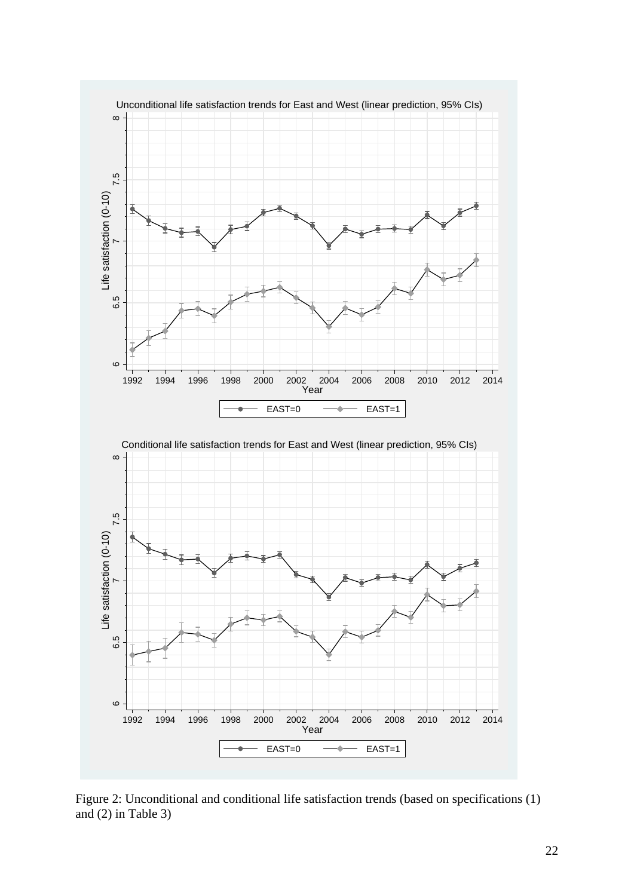

Figure 2: Unconditional and conditional life satisfaction trends (based on specifications (1) and (2) in Table 3)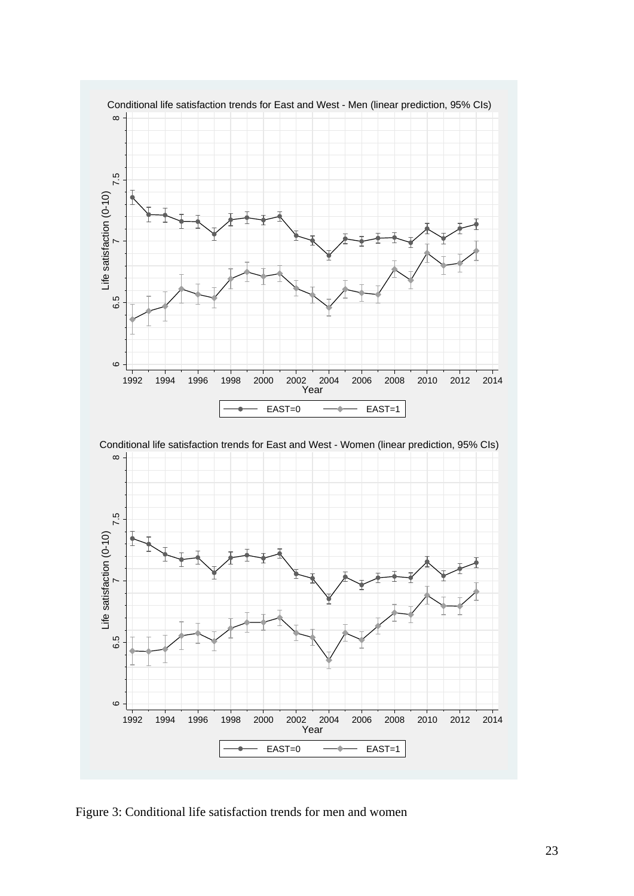

Figure 3: Conditional life satisfaction trends for men and women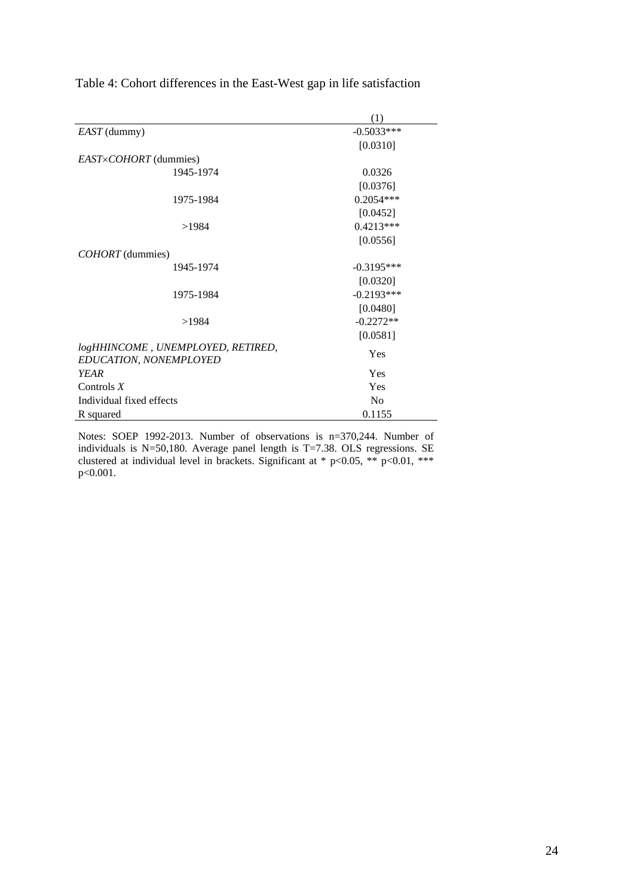|                                                             | $\left(1\right)$ |
|-------------------------------------------------------------|------------------|
| EAST (dummy)                                                | $-0.5033***$     |
|                                                             | [0.0310]         |
| <i>EAST×COHORT</i> (dummies)                                |                  |
| 1945-1974                                                   | 0.0326           |
|                                                             | [0.0376]         |
| 1975-1984                                                   | $0.2054***$      |
|                                                             | [0.0452]         |
| >1984                                                       | $0.4213***$      |
|                                                             | [0.0556]         |
| <i>COHORT</i> (dummies)                                     |                  |
| 1945-1974                                                   | $-0.3195***$     |
|                                                             | [0.0320]         |
| 1975-1984                                                   | $-0.2193***$     |
|                                                             | [0.0480]         |
| >1984                                                       | $-0.2272**$      |
|                                                             | [0.0581]         |
| logHHINCOME, UNEMPLOYED, RETIRED,<br>EDUCATION, NONEMPLOYED | Yes              |
| <b>YEAR</b>                                                 | Yes              |
| Controls $X$                                                | Yes              |
| Individual fixed effects                                    | No               |
| R squared                                                   | 0.1155           |

Notes: SOEP 1992-2013. Number of observations is n=370,244. Number of individuals is  $N=50,180$ . Average panel length is T=7.38. OLS regressions. SE clustered at individual level in brackets. Significant at  $*$  p<0.05,  $**$  p<0.01,  $***$ p<0.001.